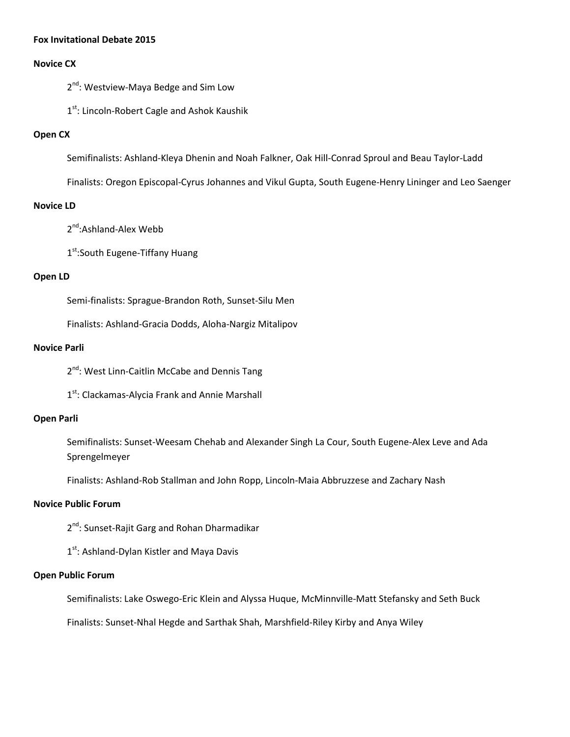#### **Fox Invitational Debate 2015**

#### **Novice CX**

2<sup>nd</sup>: Westview-Maya Bedge and Sim Low

1<sup>st</sup>: Lincoln-Robert Cagle and Ashok Kaushik

#### **Open CX**

Semifinalists: Ashland-Kleya Dhenin and Noah Falkner, Oak Hill-Conrad Sproul and Beau Taylor-Ladd

Finalists: Oregon Episcopal-Cyrus Johannes and Vikul Gupta, South Eugene-Henry Lininger and Leo Saenger

#### **Novice LD**

2<sup>nd</sup>:Ashland-Alex Webb

1st:South Eugene-Tiffany Huang

#### **Open LD**

Semi-finalists: Sprague-Brandon Roth, Sunset-Silu Men

Finalists: Ashland-Gracia Dodds, Aloha-Nargiz Mitalipov

#### **Novice Parli**

2<sup>nd</sup>: West Linn-Caitlin McCabe and Dennis Tang

1<sup>st</sup>: Clackamas-Alycia Frank and Annie Marshall

#### **Open Parli**

Semifinalists: Sunset-Weesam Chehab and Alexander Singh La Cour, South Eugene-Alex Leve and Ada Sprengelmeyer

Finalists: Ashland-Rob Stallman and John Ropp, Lincoln-Maia Abbruzzese and Zachary Nash

#### **Novice Public Forum**

2<sup>nd</sup>: Sunset-Rajit Garg and Rohan Dharmadikar

1<sup>st</sup>: Ashland-Dylan Kistler and Maya Davis

#### **Open Public Forum**

Semifinalists: Lake Oswego-Eric Klein and Alyssa Huque, McMinnville-Matt Stefansky and Seth Buck

Finalists: Sunset-Nhal Hegde and Sarthak Shah, Marshfield-Riley Kirby and Anya Wiley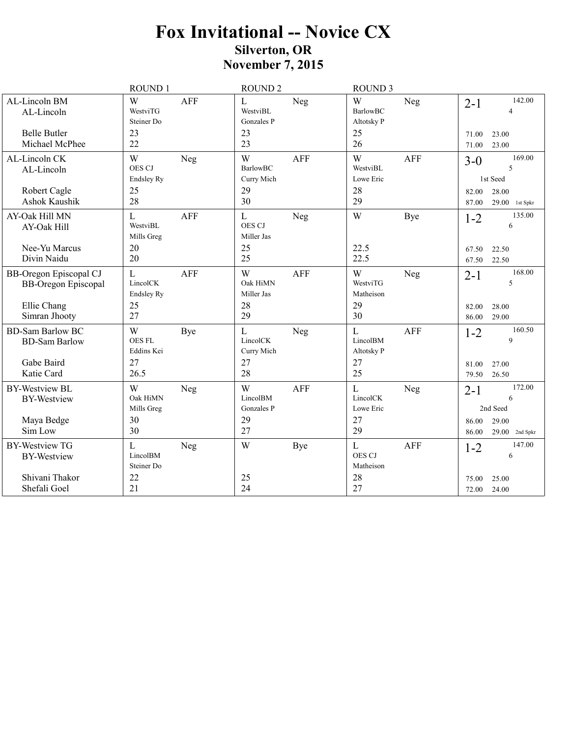|                                                             | <b>ROUND1</b>                          |            | <b>ROUND 2</b>                        |            | <b>ROUND 3</b>                             |            |                |                           |
|-------------------------------------------------------------|----------------------------------------|------------|---------------------------------------|------------|--------------------------------------------|------------|----------------|---------------------------|
| AL-Lincoln BM<br>AL-Lincoln                                 | W<br>WestviTG<br>Steiner Do            | AFF        | $\mathbf L$<br>WestviBL<br>Gonzales P | Neg        | W<br><b>BarlowBC</b><br>Altotsky P         | Neg        | $2 - 1$        | 142.00<br>4               |
| <b>Belle Butler</b><br>Michael McPhee                       | 23<br>22                               |            | 23<br>23                              |            | 25<br>26                                   |            | 71.00<br>71.00 | 23.00<br>23.00            |
| AL-Lincoln CK<br>AL-Lincoln                                 | W<br>OES CJ<br>Endsley Ry              | Neg        | W<br>BarlowBC<br>Curry Mich           | <b>AFF</b> | W<br>WestviBL<br>Lowe Eric                 | <b>AFF</b> | $3 - 0$        | 169.00<br>5<br>1st Seed   |
| Robert Cagle<br>Ashok Kaushik                               | 25<br>28                               |            | 29<br>30                              |            | 28<br>29                                   |            | 82.00<br>87.00 | 28.00<br>$29.00$ 1st Spkr |
| AY-Oak Hill MN<br>AY-Oak Hill                               | $\mathbf{L}$<br>WestviBL<br>Mills Greg | <b>AFF</b> | $\mathbf L$<br>OES CJ<br>Miller Jas   | Neg        | W                                          | Bye        | $1 - 2$        | 135.00<br>6               |
| Nee-Yu Marcus<br>Divin Naidu                                | 20<br>20                               |            | 25<br>25                              |            | 22.5<br>22.5                               |            | 67.50<br>67.50 | 22.50<br>22.50            |
| <b>BB-Oregon Episcopal CJ</b><br><b>BB-Oregon Episcopal</b> | L<br>LincolCK<br><b>Endsley Ry</b>     | <b>AFF</b> | W<br>Oak HiMN<br>Miller Jas           | <b>AFF</b> | W<br>WestviTG<br>Matheison                 | Neg        | $2 - 1$        | 168.00<br>5               |
| Ellie Chang<br>Simran Jhooty                                | 25<br>27                               |            | 28<br>29                              |            | 29<br>30                                   |            | 82.00<br>86.00 | 28.00<br>29.00            |
| <b>BD-Sam Barlow BC</b><br><b>BD-Sam Barlow</b>             | W<br>OES FL<br>Eddins Kei              | Bye        | $\mathbf L$<br>LincolCK<br>Curry Mich | Neg        | $\mathbf{L}$<br>LincolBM<br>Altotsky P     | <b>AFF</b> | $1 - 2$        | 160.50<br>9               |
| Gabe Baird<br>Katie Card                                    | 27<br>26.5                             |            | 27<br>28                              |            | 27<br>25                                   |            | 81.00<br>79.50 | 27.00<br>26.50            |
| <b>BY-Westview BL</b><br><b>BY-Westview</b>                 | W<br>Oak HiMN<br>Mills Greg            | Neg        | W<br>LincolBM<br>Gonzales P           | <b>AFF</b> | $\mathbf L$<br>LincolCK<br>Lowe Eric       | Neg        | $2 - 1$        | 172.00<br>6<br>2nd Seed   |
| Maya Bedge<br>Sim Low                                       | 30<br>30                               |            | 29<br>27                              |            | 27<br>29                                   |            | 86.00<br>86.00 | 29.00<br>$29.00$ 2nd Spkr |
| <b>BY-Westview TG</b><br><b>BY-Westview</b>                 | $\mathbf{L}$<br>LincolBM<br>Steiner Do | Neg        | W                                     | Bye        | $\mathbf{L}$<br><b>OES CJ</b><br>Matheison | <b>AFF</b> | $1 - 2$        | 147.00<br>6               |
| Shivani Thakor<br>Shefali Goel                              | 22<br>21                               |            | 25<br>24                              |            | 28<br>27                                   |            | 75.00<br>72.00 | 25.00<br>24.00            |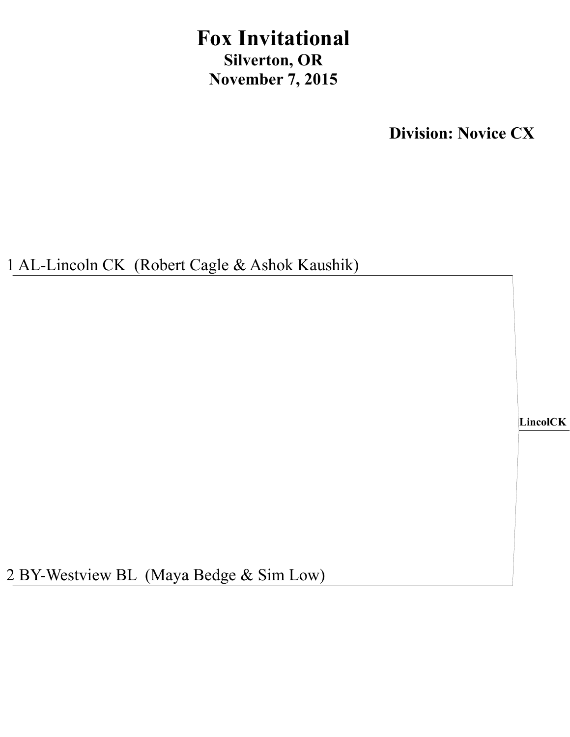## **Fox Invitational Silverton, OR November 7, 2015**

**Division: Novice CX**

1 AL-Lincoln CK (Robert Cagle & Ashok Kaushik)

**LincolCK**

2 BY-Westview BL (Maya Bedge & Sim Low)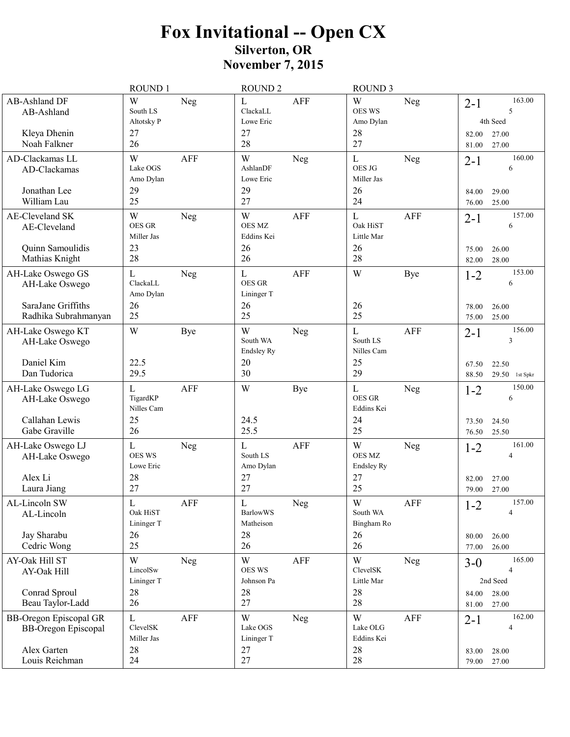# Fox Invitational -- Open CX<br>Silverton, OR<br>November 7, 2015

|                                                                    | <b>ROUND1</b>                           |             | <b>ROUND 2</b>                                   |                | <b>ROUND 3</b>                              |            |                           |                                           |
|--------------------------------------------------------------------|-----------------------------------------|-------------|--------------------------------------------------|----------------|---------------------------------------------|------------|---------------------------|-------------------------------------------|
| <b>AB-Ashland DF</b><br>AB-Ashland<br>Kleya Dhenin<br>Noah Falkner | W<br>South LS<br>Altotsky P<br>27<br>26 | Neg         | $\mathbf L$<br>ClackaLL<br>Lowe Eric<br>27<br>28 | <b>AFF</b>     | W<br><b>OES WS</b><br>Amo Dylan<br>28<br>27 | Neg        | $2 - 1$<br>82.00<br>81.00 | 163.00<br>5<br>4th Seed<br>27.00<br>27.00 |
| AD-Clackamas LL<br>AD-Clackamas<br>Jonathan Lee                    | W<br>Lake OGS<br>Amo Dylan<br>29        | <b>AFF</b>  | W<br>AshlanDF<br>Lowe Eric<br>29                 | Neg            | $\mathbf{L}$<br>OES JG<br>Miller Jas<br>26  | Neg        | $2 - 1$                   | 160.00<br>6                               |
| William Lau                                                        | 25                                      |             | 27                                               |                | 24                                          |            | 84.00<br>76.00            | 29.00<br>25.00                            |
| <b>AE-Cleveland SK</b><br>AE-Cleveland                             | W<br><b>OES GR</b><br>Miller Jas        | Neg         | W<br><b>OES MZ</b><br>Eddins Kei                 | <b>AFF</b>     | $\mathbf{L}$<br>Oak HiST<br>Little Mar      | AFF        | $2 - 1$                   | 157.00<br>6                               |
| Quinn Samoulidis<br>Mathias Knight                                 | 23<br>28                                |             | 26<br>26                                         |                | 26<br>28                                    |            | 75.00<br>82.00            | 26.00<br>28.00                            |
| AH-Lake Oswego GS<br>AH-Lake Oswego<br>SaraJane Griffiths          | L<br>ClackaLL<br>Amo Dylan<br>26        | Neg         | $\mathbf L$<br>OES GR<br>Lininger T<br>26        | <b>AFF</b>     | W<br>26                                     | Bye        | $1 - 2$<br>78.00          | 153.00<br>6<br>26.00                      |
| Radhika Subrahmanyan                                               | 25                                      |             | 25                                               |                | 25                                          |            | 75.00                     | 25.00                                     |
| AH-Lake Oswego KT<br>AH-Lake Oswego                                | W                                       | Bye         | W<br>South WA<br>Endsley Ry                      | Neg            | $\mathbf L$<br>South LS<br>Nilles Cam       | <b>AFF</b> | $2 - 1$                   | 156.00<br>3                               |
| Daniel Kim<br>Dan Tudorica                                         | 22.5<br>29.5                            |             | 20<br>30                                         |                | 25<br>29                                    |            | 67.50<br>88.50            | 22.50<br>29.50 1st Spkr                   |
| AH-Lake Oswego LG<br>AH-Lake Oswego                                | L<br>TigardKP<br>Nilles Cam             | <b>AFF</b>  | W                                                | Bye            | L<br><b>OES GR</b><br>Eddins Kei            | Neg        | $1 - 2$                   | 150.00<br>6                               |
| Callahan Lewis<br>Gabe Graville                                    | 25<br>26                                |             | 24.5<br>25.5                                     |                | 24<br>25                                    |            | 73.50<br>76.50            | 24.50<br>25.50                            |
| AH-Lake Oswego LJ<br>AH-Lake Oswego<br>Alex Li                     | L<br><b>OES WS</b><br>Lowe Eric<br>28   | Neg         | L<br>South LS<br>Amo Dylan<br>27                 | <b>AFF</b>     | W<br><b>OES MZ</b><br>Endsley Ry<br>27      | Neg        | $1 - 2$<br>82.00          | 161.00<br>4<br>27.00                      |
| Laura Jiang<br>AL-Lincoln SW                                       | 27<br>$\mathbf L$                       | ${\rm AFF}$ | 27<br>${\bf L}$                                  |                | 25<br>W                                     | AFF        | 79.00<br>$1\Omega$        | 27.00<br>157.00                           |
| AL-Lincoln                                                         | Oak HiST<br>Lininger T                  |             | <b>BarlowWS</b><br>Matheison                     | ${\hbox{Neg}}$ | South WA<br>Bingham Ro                      |            | $1 - 2$                   | 4                                         |
| Jay Sharabu<br>Cedric Wong                                         | 26<br>25                                |             | 28<br>26                                         |                | 26<br>26                                    |            | 80.00<br>77.00            | 26.00<br>26.00                            |
| AY-Oak Hill ST<br>AY-Oak Hill                                      | W<br>LincolSw                           | Neg         | W<br><b>OES WS</b><br>Johnson Pa                 | AFF            | W<br>ClevelSK<br>Little Mar                 | <b>Neg</b> | $3-0$                     | 165.00<br>4<br>2nd Seed                   |
| Conrad Sproul<br>Beau Taylor-Ladd                                  | Lininger T<br>28<br>26                  |             | 28<br>27                                         |                | 28<br>28                                    |            | 84.00<br>81.00            | 28.00<br>27.00                            |
| <b>BB-Oregon Episcopal GR</b><br><b>BB-Oregon Episcopal</b>        | L<br>ClevelSK<br>Miller Jas             | AFF         | W<br>Lake OGS<br>Lininger T                      | Neg            | W<br>Lake OLG<br>Eddins Kei                 | AFF        | $2 - 1$                   | 162.00<br>4                               |
| Alex Garten<br>Louis Reichman                                      | 28<br>24                                |             | 27<br>27                                         |                | 28<br>28                                    |            | 83.00<br>79.00            | 28.00<br>27.00                            |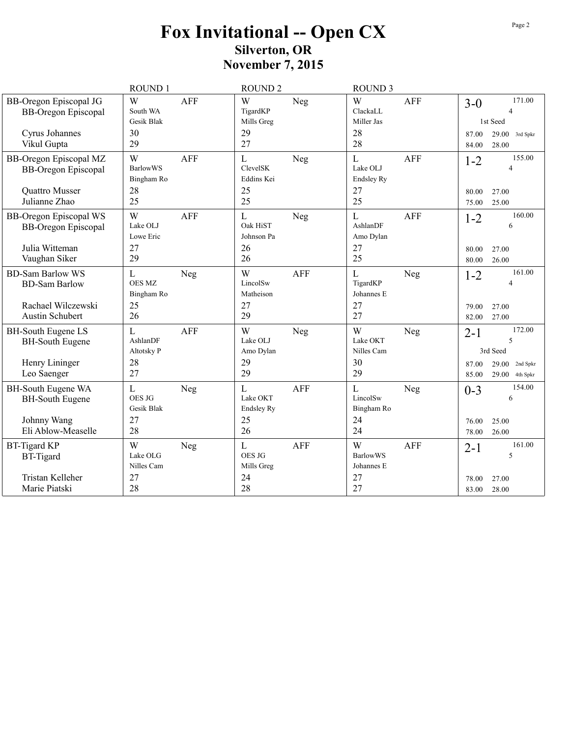## Fox Invitational -- Open CX<br>Silverton, OR<br>November 7, 2015

|                                                                               | ROUND 1                                    |            | <b>ROUND 2</b>                        |            | <b>ROUND 3</b>                         |            |                  |                                        |
|-------------------------------------------------------------------------------|--------------------------------------------|------------|---------------------------------------|------------|----------------------------------------|------------|------------------|----------------------------------------|
| <b>BB-Oregon Episcopal JG</b><br><b>BB-Oregon Episcopal</b>                   | W<br>South WA<br>Gesik Blak                | <b>AFF</b> | W<br>TigardKP<br>Mills Greg           | Neg        | W<br>ClackaLL<br>Miller Jas            | <b>AFF</b> | $3 - 0$          | 171.00<br>$\overline{4}$<br>1st Seed   |
| Cyrus Johannes<br>Vikul Gupta                                                 | 30<br>29                                   |            | 29<br>27                              |            | 28<br>28                               |            | 87.00<br>84.00   | 29.00<br>3rd Spkr<br>28.00             |
| <b>BB-Oregon Episcopal MZ</b><br><b>BB-Oregon Episcopal</b><br>Quattro Musser | W<br><b>BarlowWS</b><br>Bingham Ro<br>28   | <b>AFF</b> | L<br>ClevelSK<br>Eddins Kei<br>25     | Neg        | L<br>Lake OLJ<br>Endsley Ry<br>27      | <b>AFF</b> | $1 - 2$<br>80.00 | 155.00<br>$\overline{4}$<br>27.00      |
| Julianne Zhao                                                                 | 25                                         |            | 25                                    |            | 25                                     |            | 75.00            | 25.00                                  |
| <b>BB-Oregon Episcopal WS</b><br><b>BB-Oregon Episcopal</b>                   | W<br>Lake OLJ<br>Lowe Eric                 | <b>AFF</b> | $\mathbf L$<br>Oak HiST<br>Johnson Pa | Neg        | L<br>AshlanDF<br>Amo Dylan             | <b>AFF</b> | $1 - 2$          | 160.00<br>6                            |
| Julia Witteman<br>Vaughan Siker                                               | 27<br>29                                   |            | 26<br>26                              |            | 27<br>25                               |            | 80.00<br>80.00   | 27.00<br>26.00                         |
| <b>BD-Sam Barlow WS</b><br><b>BD-Sam Barlow</b>                               | $\mathbf L$<br><b>OES MZ</b><br>Bingham Ro | Neg        | W<br>LincolSw<br>Matheison            | <b>AFF</b> | $\mathbf{L}$<br>TigardKP<br>Johannes E | Neg        | $1 - 2$          | 161.00<br>$\overline{4}$               |
| Rachael Wilczewski<br>Austin Schubert                                         | 25<br>26                                   |            | 27<br>29                              |            | 27<br>27                               |            | 79.00<br>82.00   | 27.00<br>27.00                         |
| <b>BH-South Eugene LS</b><br><b>BH-South Eugene</b>                           | $\mathbf L$<br>AshlanDF<br>Altotsky P      | <b>AFF</b> | W<br>Lake OLJ<br>Amo Dylan            | Neg        | W<br>Lake OKT<br>Nilles Cam            | Neg        | $2 - 1$          | 172.00<br>5<br>3rd Seed                |
| Henry Lininger<br>Leo Saenger                                                 | 28<br>27                                   |            | 29<br>29                              |            | 30<br>29                               |            | 87.00<br>85.00   | 29.00<br>2nd Spkr<br>29.00<br>4th Spkr |
| BH-South Eugene WA<br><b>BH-South Eugene</b>                                  | $\mathbf L$<br>OES JG<br>Gesik Blak        | Neg        | L<br>Lake OKT<br><b>Endsley Ry</b>    | <b>AFF</b> | L<br>LincolSw<br>Bingham Ro            | Neg        | $0 - 3$          | 154.00<br>6                            |
| Johnny Wang<br>Eli Ablow-Measelle                                             | 27<br>28                                   |            | 25<br>26                              |            | 24<br>24                               |            | 76.00<br>78.00   | 25.00<br>26.00                         |
| <b>BT-Tigard KP</b><br><b>BT-Tigard</b>                                       | W<br>Lake OLG<br>Nilles Cam                | Neg        | L<br>OES JG<br>Mills Greg             | <b>AFF</b> | W<br><b>BarlowWS</b><br>Johannes E     | AFF        | $2 - 1$          | 161.00<br>5                            |
| Tristan Kelleher<br>Marie Piatski                                             | 27<br>28                                   |            | 24<br>28                              |            | 27<br>27                               |            | 78.00<br>83.00   | 27.00<br>28.00                         |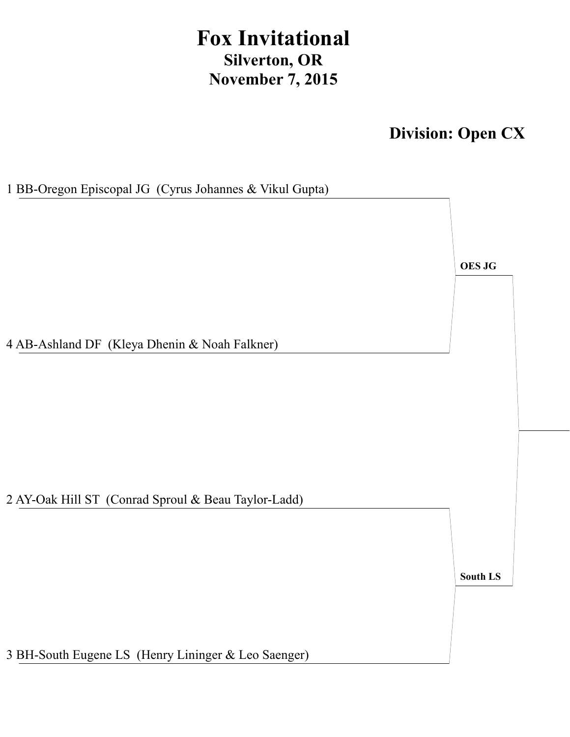## **Fox Invitational Silverton, OR November 7, 2015**

**Division: Open CX**

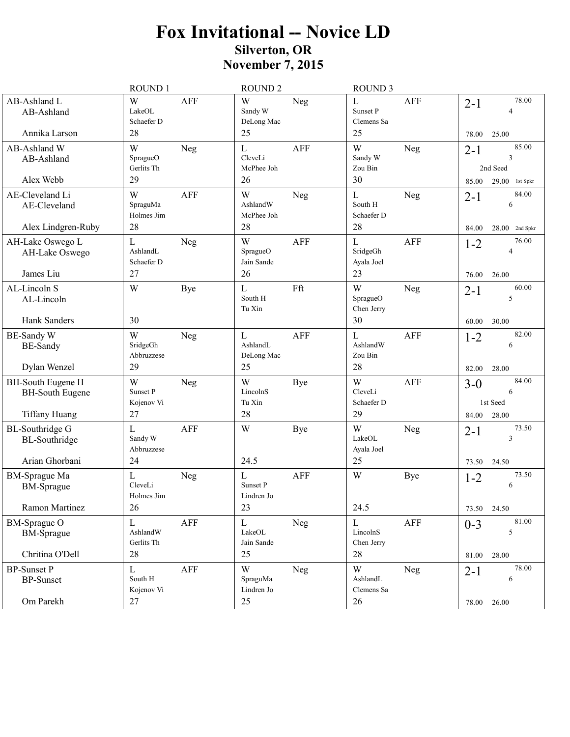|                                                                            | ROUND 1                                             | <b>ROUND 2</b>                                             | <b>ROUND 3</b>                                             |                                                                |
|----------------------------------------------------------------------------|-----------------------------------------------------|------------------------------------------------------------|------------------------------------------------------------|----------------------------------------------------------------|
| AB-Ashland L<br>AB-Ashland<br>Annika Larson                                | W<br><b>AFF</b><br>LakeOL<br>Schaefer D<br>28       | W<br>Neg<br>Sandy W<br>DeLong Mac<br>25                    | <b>AFF</b><br>L<br>Sunset P<br>Clemens Sa<br>25            | 78.00<br>$2 - 1$<br>4<br>78.00<br>25.00                        |
| AB-Ashland W<br>AB-Ashland<br>Alex Webb                                    | W<br>Neg<br>SpragueO<br>Gerlits Th<br>29            | $\mathbf L$<br><b>AFF</b><br>CleveLi<br>McPhee Joh<br>26   | W<br>Neg<br>Sandy W<br>Zou Bin<br>30                       | 85.00<br>$2 - 1$<br>3<br>2nd Seed<br>$29.00$ 1st Spkr<br>85.00 |
| AE-Cleveland Li<br>AE-Cleveland<br>Alex Lindgren-Ruby                      | <b>AFF</b><br>W<br>SpraguMa<br>Holmes Jim<br>28     | W<br>Neg<br>AshlandW<br>McPhee Joh<br>28                   | $\mathbf L$<br>Neg<br>South H<br>Schaefer D<br>28          | 84.00<br>$2 - 1$<br>6<br>84.00<br>28.00<br>2nd Spkr            |
| AH-Lake Oswego L<br>AH-Lake Oswego<br>James Liu                            | $\mathbf{L}$<br>Neg<br>AshlandL<br>Schaefer D<br>27 | W<br><b>AFF</b><br>SpragueO<br>Jain Sande<br>26            | $\mathbf{L}$<br><b>AFF</b><br>SridgeGh<br>Ayala Joel<br>23 | 76.00<br>$1 - 2$<br>$\overline{4}$<br>26.00<br>76.00           |
| AL-Lincoln S<br>AL-Lincoln<br>Hank Sanders                                 | W<br><b>Bye</b><br>30                               | Fft<br>$\mathbf L$<br>South H<br>Tu Xin                    | W<br>Neg<br>SpragueO<br>Chen Jerry<br>30                   | 60.00<br>$2 - 1$<br>5<br>60.00<br>30.00                        |
| <b>BE-Sandy W</b><br><b>BE-Sandy</b><br>Dylan Wenzel                       | W<br>Neg<br>SridgeGh<br>Abbruzzese<br>29            | $\mathbf{L}$<br><b>AFF</b><br>AshlandL<br>DeLong Mac<br>25 | $\mathbf{L}$<br><b>AFF</b><br>AshlandW<br>Zou Bin<br>28    | 82.00<br>$1 - 2$<br>6<br>28.00<br>82.00                        |
| <b>BH-South Eugene H</b><br><b>BH-South Eugene</b><br><b>Tiffany Huang</b> | W<br>Neg<br>Sunset P<br>Kojenov Vi<br>27            | W<br>Bye<br>LincolnS<br>Tu Xin<br>28                       | W<br><b>AFF</b><br>CleveLi<br>Schaefer D<br>29             | 84.00<br>$3-0$<br>6<br>1st Seed<br>28.00<br>84.00              |
| <b>BL-Southridge G</b><br><b>BL-Southridge</b><br>Arian Ghorbani           | L<br><b>AFF</b><br>Sandy W<br>Abbruzzese<br>24      | W<br>Bye<br>24.5                                           | W<br>Neg<br>LakeOL<br>Ayala Joel<br>25                     | 73.50<br>$2 - 1$<br>3<br>73.50<br>24.50                        |
| <b>BM-Sprague Ma</b><br><b>BM-Sprague</b><br>Ramon Martinez                | L<br>Neg<br>CleveLi<br>Holmes Jim<br>26             | $\mathbf{L}$<br><b>AFF</b><br>Sunset P<br>Lindren Jo<br>23 | W<br><b>Bye</b><br>24.5                                    | 73.50<br>$1 - 2$<br>6<br>73.50<br>24.50                        |
| <b>BM-Sprague O</b><br><b>BM-Sprague</b><br>Chritina O'Dell                | $\mathbf L$<br>AFF<br>AshlandW<br>Gerlits Th<br>28  | $\mathbf L$<br>Neg<br>LakeOL<br>Jain Sande<br>25           | ${\bf L}$<br>AFF<br>LincolnS<br>Chen Jerry<br>28           | 81.00<br>$0 - 3$<br>5<br>28.00<br>81.00                        |
| <b>BP-Sunset P</b><br><b>BP-Sunset</b><br>Om Parekh                        | ${\bf L}$<br>AFF<br>South H<br>Kojenov Vi<br>27     | W<br>Neg<br>SpraguMa<br>Lindren Jo<br>25                   | W<br><b>Neg</b><br>AshlandL<br>Clemens Sa<br>26            | 78.00<br>$2 - 1$<br>6<br>78.00<br>26.00                        |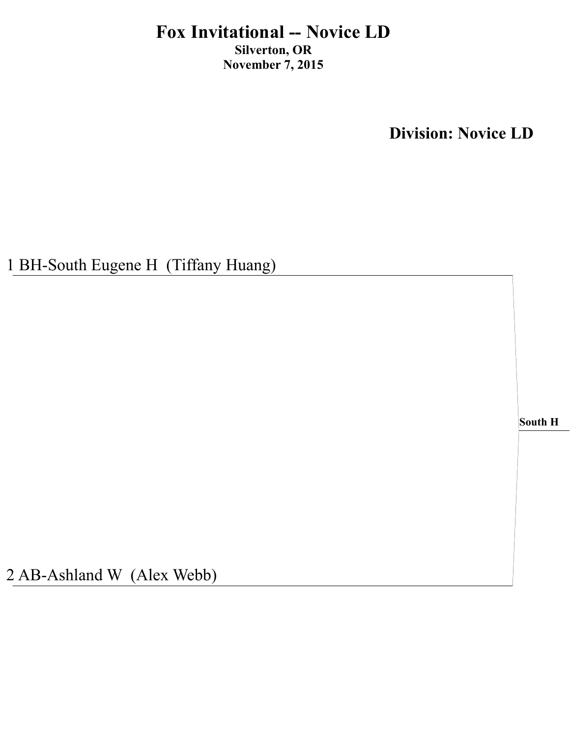**Division: Novice LD** 

1 BH-South Eugene H (Tiffany Huang)

South H

2 AB-Ashland W (Alex Webb)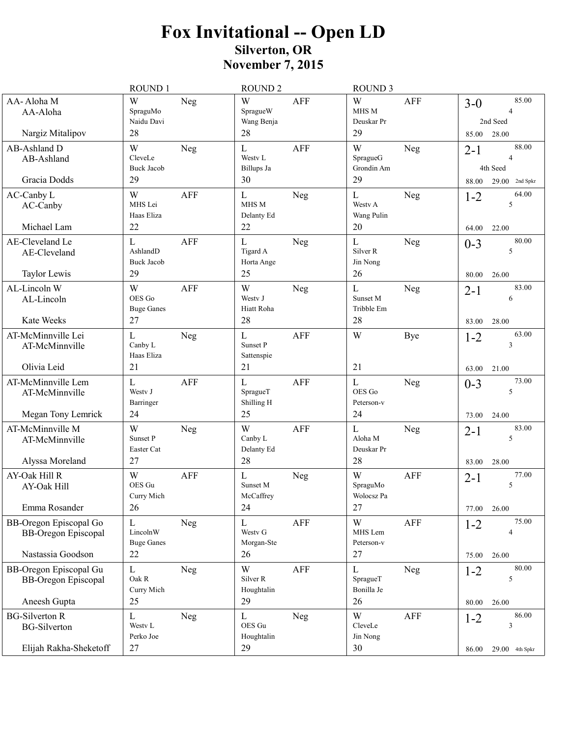|                                                                                  | ROUND 1                                                | <b>ROUND 2</b>                                             | <b>ROUND 3</b>                                            |                                                                |
|----------------------------------------------------------------------------------|--------------------------------------------------------|------------------------------------------------------------|-----------------------------------------------------------|----------------------------------------------------------------|
| AA-Aloha M<br>AA-Aloha<br>Nargiz Mitalipov                                       | W<br>Neg<br>SpraguMo<br>Naidu Davi<br>28               | W<br><b>AFF</b><br>SpragueW<br>Wang Benja<br>28            | W<br>AFF<br>MHS M<br>Deuskar Pr<br>29                     | 85.00<br>$3-0$<br>4<br>2nd Seed<br>28.00<br>85.00              |
| AB-Ashland D<br>AB-Ashland<br>Gracia Dodds                                       | W<br>Neg<br>CleveLe<br><b>Buck Jacob</b><br>29         | $\mathbf L$<br><b>AFF</b><br>Westy L<br>Billups Ja<br>30   | W<br>Neg<br>SpragueG<br>Grondin Am<br>29                  | 88.00<br>$2 - 1$<br>4<br>4th Seed<br>$29.00$ 2nd Spkr<br>88.00 |
| AC-Canby L<br>AC-Canby<br>Michael Lam                                            | W<br>AFF<br>MHS Lei<br>Haas Eliza<br>22                | $\mathbf L$<br>Neg<br>MHS M<br>Delanty Ed<br>22            | $\mathbf{L}$<br><b>Neg</b><br>Westy A<br>Wang Pulin<br>20 | 64.00<br>$1 - 2$<br>5<br>64.00<br>22.00                        |
| AE-Cleveland Le<br>AE-Cleveland<br>Taylor Lewis                                  | L<br><b>AFF</b><br>AshlandD<br><b>Buck Jacob</b><br>29 | $\mathbf L$<br>Neg<br>Tigard A<br>Horta Ange<br>25         | $\mathbf{L}$<br><b>Neg</b><br>Silver R<br>Jin Nong<br>26  | 80.00<br>$0 - 3$<br>5<br>26.00<br>80.00                        |
| AL-Lincoln W<br>AL-Lincoln<br>Kate Weeks                                         | W<br><b>AFF</b><br>OES Go<br><b>Buge Ganes</b><br>27   | W<br>Neg<br>Westy J<br>Hiatt Roha<br>28                    | $\mathbf{L}$<br>Neg<br>Sunset M<br>Tribble Em<br>28       | 83.00<br>$2 - 1$<br>6<br>83.00<br>28.00                        |
| AT-McMinnville Lei<br>AT-McMinnville<br>Olivia Leid                              | $\mathbf{L}$<br>Neg<br>Canby L<br>Haas Eliza<br>21     | $\mathbf{L}$<br><b>AFF</b><br>Sunset P<br>Sattenspie<br>21 | W<br><b>Bye</b><br>21                                     | 63.00<br>$1 - 2$<br>3<br>63.00<br>21.00                        |
| AT-McMinnville Lem<br>AT-McMinnville<br>Megan Tony Lemrick                       | L<br><b>AFF</b><br>Westy J<br>Barringer<br>24          | $\mathbf L$<br><b>AFF</b><br>SpragueT<br>Shilling H<br>25  | $\mathbf{L}$<br>Neg<br>OES Go<br>Peterson-v<br>24         | 73.00<br>$0 - 3$<br>5<br>24.00<br>73.00                        |
| AT-McMinnville M<br>AT-McMinnville<br>Alyssa Moreland                            | W<br>Neg<br>Sunset P<br>Easter Cat<br>27               | W<br><b>AFF</b><br>Canby L<br>Delanty Ed<br>28             | $\mathbf{L}$<br><b>Neg</b><br>Aloha M<br>Deuskar Pr<br>28 | 83.00<br>$2 - 1$<br>5<br>28.00<br>83.00                        |
| AY-Oak Hill R<br>AY-Oak Hill<br>Emma Rosander                                    | W<br><b>AFF</b><br>OES Gu<br>Curry Mich<br>26          | $\mathbf L$<br>Neg<br>Sunset M<br>McCaffrey<br>24          | W<br>AFF<br>SpraguMo<br>Wolocsz Pa<br>27                  | 77.00<br>$2 - 1$<br>5<br>26.00<br>77.00                        |
| <b>BB-Oregon Episcopal Go</b><br><b>BB-Oregon Episcopal</b><br>Nastassia Goodson | L<br>Neg<br>LincolnW<br><b>Buge Ganes</b><br>22        | AFF<br>L<br>Westy G<br>Morgan-Ste<br>26                    | W<br><b>AFF</b><br>MHS Lem<br>Peterson-v<br>27            | 75.00<br>$1 - 2$<br>4<br>26.00<br>75.00                        |
| <b>BB-Oregon Episcopal Gu</b><br><b>BB-Oregon Episcopal</b><br>Aneesh Gupta      | $\mathbf{L}$<br>Neg<br>Oak R<br>Curry Mich<br>25       | W<br><b>AFF</b><br>Silver <sub>R</sub><br>Houghtalin<br>29 | $\mathbf L$<br>Neg<br>SpragueT<br>Bonilla Je<br>26        | 80.00<br>$1 - 2$<br>5<br>80.00<br>26.00                        |
| <b>BG-Silverton R</b><br><b>BG-Silverton</b><br>Elijah Rakha-Sheketoff           | L<br>Neg<br>Westy L<br>Perko Joe<br>27                 | L<br>Neg<br>OES Gu<br>Houghtalin<br>29                     | W<br>AFF<br>CleveLe<br>Jin Nong<br>30                     | 86.00<br>$1 - 2$<br>3<br>29.00 4th Spkr<br>86.00               |
|                                                                                  |                                                        |                                                            |                                                           |                                                                |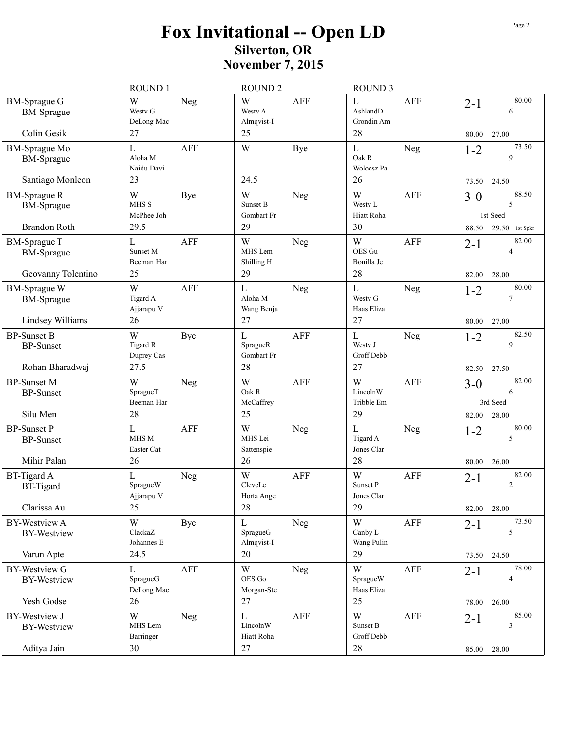|                                                                 | ROUND 1                                         | ROUND <sub>2</sub>                          |            | ROUND <sub>3</sub>                           |            |                  |                                          |
|-----------------------------------------------------------------|-------------------------------------------------|---------------------------------------------|------------|----------------------------------------------|------------|------------------|------------------------------------------|
| <b>BM-Sprague G</b><br><b>BM-Sprague</b>                        | W<br>Neg<br>Westy G<br>DeLong Mac               | W<br>Westy A<br>Almqvist-I                  | <b>AFF</b> | $\mathbf{L}$<br>AshlandD<br>Grondin Am       | AFF        | $2 - 1$          | 80.00<br>6                               |
| Colin Gesik                                                     | 27                                              | 25                                          |            | 28                                           |            | 80.00            | 27.00                                    |
| <b>BM-Sprague Mo</b><br><b>BM-Sprague</b>                       | L<br><b>AFF</b><br>Aloha M<br>Naidu Davi        | W                                           | Bye        | $\mathbf{L}$<br>Oak R<br>Wolocsz Pa          | Neg        | $1 - 2$          | 73.50<br>9                               |
| Santiago Monleon                                                | 23                                              | 24.5                                        |            | 26                                           |            | 73.50            | 24.50                                    |
| <b>BM-Sprague R</b><br><b>BM-Sprague</b><br><b>Brandon Roth</b> | W<br><b>Bye</b><br>MHS S<br>McPhee Joh<br>29.5  | W<br>Sunset B<br>Gombart Fr<br>29           | Neg        | W<br>Westy L<br>Hiatt Roha<br>30             | <b>AFF</b> | $3-0$<br>88.50   | 88.50<br>5<br>1st Seed<br>29.50 1st Spkr |
| <b>BM-Sprague T</b><br><b>BM-Sprague</b><br>Geovanny Tolentino  | <b>AFF</b><br>L<br>Sunset M<br>Beeman Har<br>25 | W<br>MHS Lem<br>Shilling H<br>29            | Neg        | W<br>OES Gu<br>Bonilla Je<br>28              | AFF        | $2 - 1$<br>82.00 | 82.00<br>$\overline{4}$<br>28.00         |
| <b>BM-Sprague W</b><br><b>BM-Sprague</b><br>Lindsey Williams    | W<br><b>AFF</b><br>Tigard A<br>Ajjarapu V<br>26 | $\mathbf{L}$<br>Aloha M<br>Wang Benja<br>27 | Neg        | $\mathbf{L}$<br>Westy G<br>Haas Eliza<br>27  | Neg        | $1 - 2$<br>80.00 | 80.00<br>$\overline{7}$<br>27.00         |
| <b>BP-Sunset B</b><br><b>BP-Sunset</b><br>Rohan Bharadwaj       | W<br>Bye<br>Tigard R<br>Duprey Cas<br>27.5      | $\mathbf L$<br>SpragueR<br>Gombart Fr<br>28 | <b>AFF</b> | $\mathbf L$<br>Westy J<br>Groff Debb<br>27   | Neg        | $1 - 2$<br>82.50 | 82.50<br>9<br>27.50                      |
| <b>BP-Sunset M</b><br><b>BP-Sunset</b><br>Silu Men              | W<br>Neg<br>SpragueT<br>Beeman Har<br>28        | W<br>Oak R<br>McCaffrey<br>25               | <b>AFF</b> | W<br>LincolnW<br>Tribble Em<br>29            | <b>AFF</b> | $3-0$<br>82.00   | 82.00<br>6<br>3rd Seed<br>28.00          |
| <b>BP-Sunset P</b><br><b>BP-Sunset</b><br>Mihir Palan           | <b>AFF</b><br>L<br>MHS M<br>Easter Cat<br>26    | W<br>MHS Lei<br>Sattenspie<br>26            | Neg        | $\mathbf{L}$<br>Tigard A<br>Jones Clar<br>28 | Neg        | $1 - 2$<br>80.00 | 80.00<br>5<br>26.00                      |
| <b>BT-Tigard A</b><br><b>BT-Tigard</b><br>Clarissa Au           | L<br>Neg<br>SpragueW<br>Ajjarapu V<br>25        | W<br>CleveLe<br>Horta Ange<br>28            | <b>AFF</b> | W<br>Sunset P<br>Jones Clar<br>29            | AFF        | $2 - 1$<br>82.00 | 82.00<br>$\mathfrak{2}$<br>28.00         |
| <b>BY-Westview A</b><br><b>BY-Westview</b><br>Varun Apte        | W<br>Bye<br>ClackaZ<br>Johannes E<br>24.5       | L<br>SpragueG<br>Almqvist-I<br>20           | Neg        | W<br>Canby L<br>Wang Pulin<br>29             | AFF        | $2 - 1$<br>73.50 | 73.50<br>5<br>24.50                      |
| <b>BY-Westview G</b><br><b>BY-Westview</b><br>Yesh Godse        | AFF<br>L<br>SpragueG<br>DeLong Mac<br>26        | W<br>OES Go<br>Morgan-Ste<br>27             | Neg        | W<br>SpragueW<br>Haas Eliza<br>25            | AFF        | $2 - 1$<br>78.00 | 78.00<br>4<br>26.00                      |
| <b>BY-Westview J</b><br><b>BY-Westview</b><br>Aditya Jain       | W<br>Neg<br>MHS Lem<br>Barringer<br>30          | L<br>LincolnW<br>Hiatt Roha<br>27           | AFF        | W<br>Sunset B<br>Groff Debb<br>28            | AFF        | $2 - 1$<br>85.00 | 85.00<br>$\mathfrak z$<br>28.00          |
|                                                                 |                                                 |                                             |            |                                              |            |                  |                                          |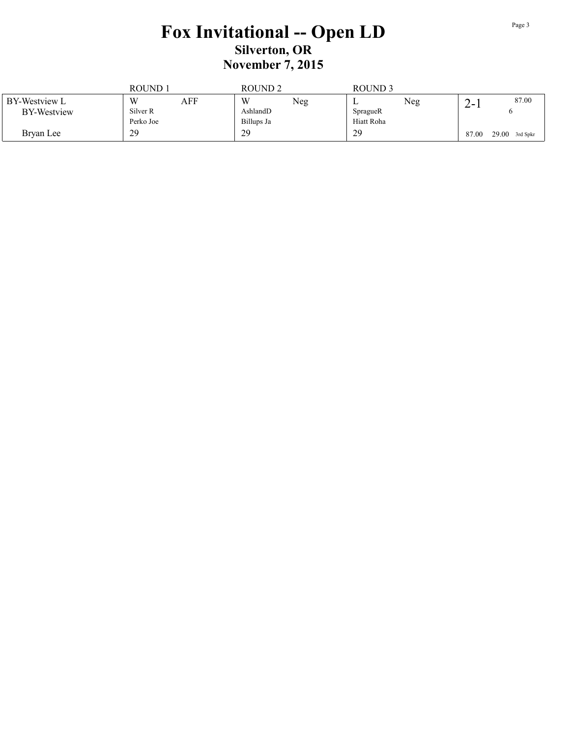|                    | ROUND.    |     | ROUND <sub>2</sub> |     | ROUND <sub>3</sub> |     |       |                  |
|--------------------|-----------|-----|--------------------|-----|--------------------|-----|-------|------------------|
| BY-Westview L      | W         | AFF | W                  | Neg | ∸                  | Neg | 2- I  | 87.00            |
| <b>BY-Westview</b> | Silver R  |     | AshlandD           |     | SpragueR           |     |       |                  |
|                    | Perko Joe |     | Billups Ja         |     | Hiatt Roha         |     |       |                  |
| Bryan Lee          | 29        |     | 29                 |     | 29                 |     | 87.00 | $29.00$ 3rd Spkr |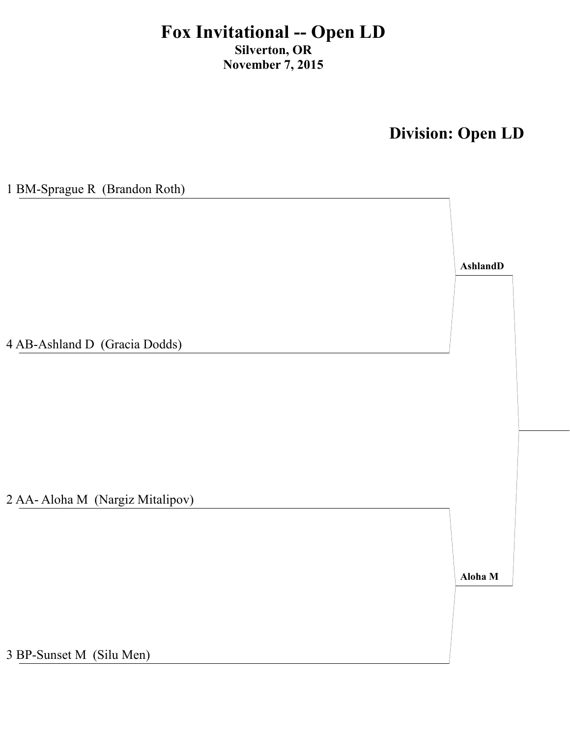**Division: Open LD**

| 1 BM-Sprague R (Brandon Roth)    |                 |
|----------------------------------|-----------------|
|                                  |                 |
|                                  |                 |
|                                  |                 |
|                                  |                 |
|                                  | <b>AshlandD</b> |
|                                  |                 |
|                                  |                 |
|                                  |                 |
|                                  |                 |
| 4 AB-Ashland D (Gracia Dodds)    |                 |
|                                  |                 |
|                                  |                 |
|                                  |                 |
|                                  |                 |
|                                  |                 |
|                                  |                 |
|                                  |                 |
|                                  |                 |
| 2 AA- Aloha M (Nargiz Mitalipov) |                 |
|                                  |                 |
|                                  |                 |
|                                  |                 |
|                                  |                 |
|                                  | Aloha M         |
|                                  |                 |
|                                  |                 |
|                                  |                 |
|                                  |                 |
| 3 BP-Sunset M (Silu Men)         |                 |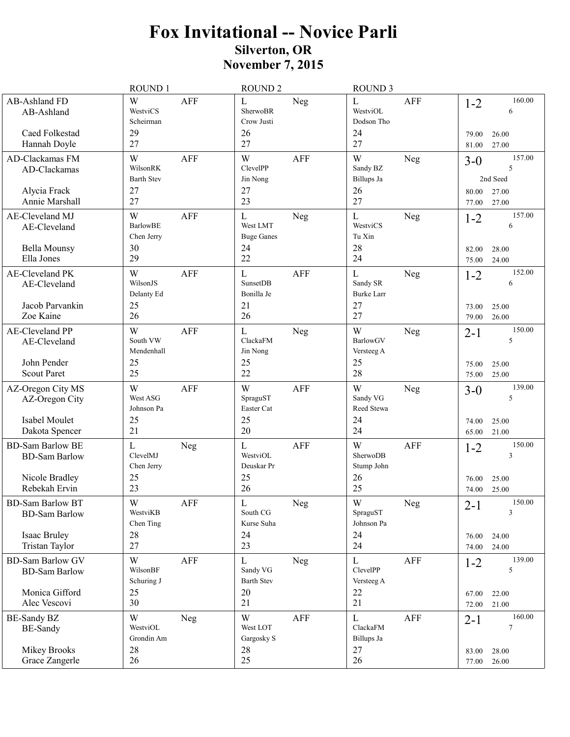|                                                                                    | ROUND 1                                                             | <b>ROUND 2</b>                                                        | <b>ROUND 3</b>                                                                  |                                                                              |
|------------------------------------------------------------------------------------|---------------------------------------------------------------------|-----------------------------------------------------------------------|---------------------------------------------------------------------------------|------------------------------------------------------------------------------|
| AB-Ashland FD<br>AB-Ashland<br>Caed Folkestad<br>Hannah Doyle                      | W<br><b>AFF</b><br>WestviCS<br>Scheirman<br>29<br>27                | L<br>Neg<br>SherwoBR<br>Crow Justi<br>26<br>27                        | L<br>AFF<br>WestviOL<br>Dodson Tho<br>24<br>27                                  | 160.00<br>$1 - 2$<br>6<br>26.00<br>79.00<br>27.00<br>81.00                   |
| AD-Clackamas FM<br>AD-Clackamas<br>Alycia Frack                                    | W<br>AFF<br>WilsonRK<br><b>Barth Stev</b><br>27                     | W<br><b>AFF</b><br>ClevelPP<br>Jin Nong<br>27                         | W<br>Neg<br>Sandy BZ<br>Billups Ja<br>26                                        | 157.00<br>$3 - 0$<br>5<br>2nd Seed<br>80.00<br>27.00                         |
| Annie Marshall<br>AE-Cleveland MJ<br>AE-Cleveland<br>Bella Mounsy<br>Ella Jones    | 27<br>W<br><b>AFF</b><br><b>BarlowBE</b><br>Chen Jerry<br>30<br>29  | 23<br>$\mathbf L$<br>Neg<br>West LMT<br><b>Buge Ganes</b><br>24<br>22 | 27<br>L<br>Neg<br>WestviCS<br>Tu Xin<br>28<br>24                                | 27.00<br>77.00<br>157.00<br>$1 - 2$<br>6<br>28.00<br>82.00<br>24.00<br>75.00 |
| AE-Cleveland PK<br>AE-Cleveland<br>Jacob Parvankin<br>Zoe Kaine                    | W<br><b>AFF</b><br>WilsonJS<br>Delanty Ed<br>25<br>26               | $\mathbf L$<br><b>AFF</b><br>SunsetDB<br>Bonilla Je<br>21<br>26       | $\mathbf{L}$<br><b>Neg</b><br>Sandy SR<br><b>Burke Larr</b><br>27<br>27         | 152.00<br>$1 - 2$<br>6<br>73.00<br>25.00<br>79.00<br>26.00                   |
| <b>AE-Cleveland PP</b><br>AE-Cleveland<br>John Pender<br><b>Scout Paret</b>        | W<br><b>AFF</b><br>South VW<br>Mendenhall<br>25<br>25               | L<br>Neg<br>ClackaFM<br>Jin Nong<br>25<br>22                          | W<br>Neg<br>BarlowGV<br>Versteeg A<br>25<br>28                                  | 150.00<br>$2 - 1$<br>5<br>25.00<br>75.00<br>75.00<br>25.00                   |
| AZ-Oregon City MS<br>AZ-Oregon City<br>Isabel Moulet<br>Dakota Spencer             | W<br><b>AFF</b><br>West ASG<br>Johnson Pa<br>25<br>21               | W<br><b>AFF</b><br>SpraguST<br>Easter Cat<br>25<br>20                 | W<br>Neg<br>Sandy VG<br>Reed Stewa<br>24<br>24                                  | 139.00<br>$3-0$<br>5<br>25.00<br>74.00<br>21.00<br>65.00                     |
| <b>BD-Sam Barlow BE</b><br><b>BD-Sam Barlow</b><br>Nicole Bradley<br>Rebekah Ervin | L<br>Neg<br>ClevelMJ<br>Chen Jerry<br>25<br>23                      | <b>AFF</b><br>$\mathbf L$<br>WestviOL<br>Deuskar Pr<br>25<br>26       | W<br><b>AFF</b><br>SherwoDB<br>Stump John<br>26<br>25                           | 150.00<br>$1 - 2$<br>3<br>25.00<br>76.00<br>74.00<br>25.00                   |
| <b>BD-Sam Barlow BT</b><br><b>BD-Sam Barlow</b><br>Isaac Bruley<br>Tristan Taylor  | $\ensuremath{\text{W}}$<br>AFF<br>WestviKB<br>Chen Ting<br>28<br>27 | $\mathbf L$<br>${\hbox{Neg}}$<br>South CG<br>Kurse Suha<br>24<br>23   | $\ensuremath{\text{W}}$<br>${\hbox{Neg}}$<br>SpraguST<br>Johnson Pa<br>24<br>24 | 150.00<br>$2 - 1$<br>3<br>76.00<br>24.00<br>74.00<br>24.00                   |
| <b>BD-Sam Barlow GV</b><br><b>BD-Sam Barlow</b><br>Monica Gifford<br>Alec Vescovi  | W<br>AFF<br>WilsonBF<br>Schuring J<br>25<br>30                      | L<br>Neg<br>Sandy VG<br><b>Barth Stev</b><br>20<br>21                 | $\mathbf{L}$<br>AFF<br>ClevelPP<br>Versteeg A<br>22<br>21                       | 139.00<br>$1 - 2$<br>5<br>22.00<br>67.00<br>72.00<br>21.00                   |
| <b>BE-Sandy BZ</b><br><b>BE-Sandy</b><br><b>Mikey Brooks</b><br>Grace Zangerle     | W<br>Neg<br>WestviOL<br>Grondin Am<br>28<br>26                      | W<br><b>AFF</b><br>West LOT<br>Gargosky S<br>28<br>25                 | $\mathbf{L}$<br>AFF<br>ClackaFM<br>Billups Ja<br>27<br>26                       | 160.00<br>$2 - 1$<br>$\tau$<br>28.00<br>83.00<br>26.00<br>77.00              |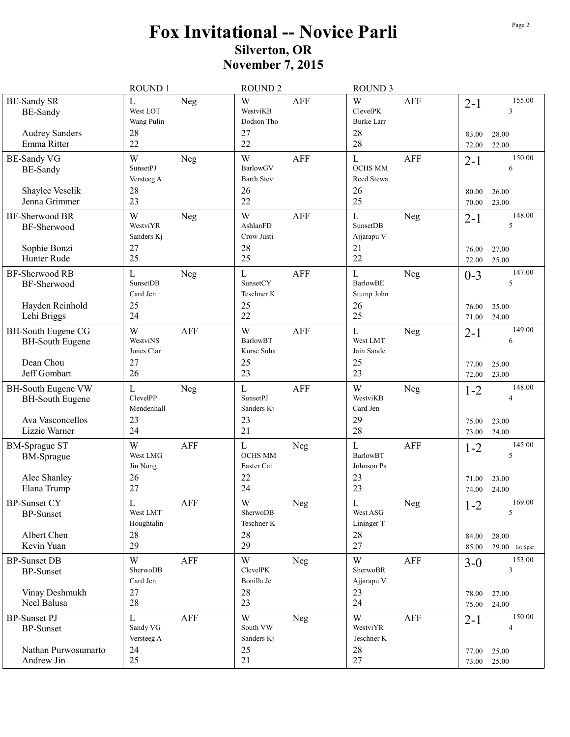|                                                                                   | ROUND 1                                                       | <b>ROUND 2</b>                                                   | <b>ROUND 3</b>                                                         |                                                                         |
|-----------------------------------------------------------------------------------|---------------------------------------------------------------|------------------------------------------------------------------|------------------------------------------------------------------------|-------------------------------------------------------------------------|
| <b>BE-Sandy SR</b><br><b>BE-Sandy</b><br><b>Audrey Sanders</b><br>Emma Ritter     | L<br>Neg<br>West LOT<br>Wang Pulin<br>28<br>22                | W<br><b>AFF</b><br>WestviKB<br>Dodson Tho<br>27<br>22            | W<br>AFF<br><b>ClevelPK</b><br><b>Burke Larr</b><br>28<br>28           | 155.00<br>$2 - 1$<br>3<br>83.00<br>28.00                                |
| <b>BE-Sandy VG</b><br><b>BE-Sandy</b>                                             | W<br>Neg<br><b>SunsetPJ</b><br>Versteeg A                     | W<br>AFF<br>BarlowGV<br><b>Barth Stev</b>                        | $\mathbf L$<br><b>AFF</b><br><b>OCHS MM</b><br>Reed Stewa              | 22.00<br>72.00<br>150.00<br>$2 - 1$<br>6                                |
| Shaylee Veselik<br>Jenna Grimmer                                                  | 28<br>23                                                      | 26<br>22                                                         | 26<br>25                                                               | 26.00<br>80.00<br>23.00<br>70.00                                        |
| BF-Sherwood BR<br>BF-Sherwood                                                     | W<br>Neg<br>WestviYR<br>Sanders Kj                            | W<br><b>AFF</b><br>AshlanFD<br>Crow Justi                        | L<br><b>Neg</b><br><b>SunsetDB</b><br>Ajjarapu V                       | 148.00<br>$2 - 1$<br>5                                                  |
| Sophie Bonzi<br>Hunter Rude                                                       | 27<br>25                                                      | 28<br>25                                                         | 21<br>22                                                               | 27.00<br>76.00<br>25.00<br>72.00                                        |
| BF-Sherwood RB<br>BF-Sherwood<br>Hayden Reinhold                                  | $\mathbf L$<br>Neg<br><b>SunsetDB</b><br>Card Jen<br>25<br>24 | $\mathbf{L}$<br><b>AFF</b><br>SunsetCY<br>Teschner K<br>25<br>22 | $\mathbf L$<br><b>Neg</b><br><b>BarlowBE</b><br>Stump John<br>26<br>25 | 147.00<br>$0 - 3$<br>5<br>25.00<br>76.00                                |
| Lehi Briggs<br><b>BH-South Eugene CG</b><br><b>BH-South Eugene</b>                | W<br><b>AFF</b><br>WestviNS<br>Jones Clar                     | W<br><b>AFF</b><br><b>BarlowBT</b><br>Kurse Suha                 | L<br><b>Neg</b><br>West LMT<br>Jain Sande                              | 71.00<br>24.00<br>149.00<br>$2 - 1$<br>6                                |
| Dean Chou<br>Jeff Gombart                                                         | 27<br>26                                                      | 25<br>23                                                         | 25<br>23                                                               | 25.00<br>77.00<br>72.00<br>23.00                                        |
| BH-South Eugene VW<br><b>BH-South Eugene</b><br>Ava Vasconcellos<br>Lizzie Warner | $\mathbf L$<br>Neg<br>ClevelPP<br>Mendenhall<br>23<br>24      | L<br><b>AFF</b><br><b>SunsetPJ</b><br>Sanders Kj<br>23<br>21     | W<br>Neg<br>WestviKB<br>Card Jen<br>29<br>28                           | 148.00<br>$1 - 2$<br>$\overline{4}$<br>75.00<br>23.00<br>24.00<br>73.00 |
| <b>BM-Sprague ST</b><br><b>BM-Sprague</b><br>Alec Shanley<br>Elana Trump          | W<br><b>AFF</b><br>West LMG<br>Jin Nong<br>26<br>27           | L<br>Neg<br><b>OCHS MM</b><br>Easter Cat<br>22<br>24             | <b>AFF</b><br>L<br><b>BarlowBT</b><br>Johnson Pa<br>23<br>23           | 145.00<br>$1 - 2$<br>5<br>23.00<br>71.00<br>74.00<br>24.00              |
| <b>BP-Sunset CY</b><br><b>BP-Sunset</b><br>Albert Chen                            | $\mathbf L$<br>AFF<br>West LMT<br>Houghtalin<br>28            | $\ensuremath{\text{W}}$<br>Neg<br>SherwoDB<br>Teschner K<br>28   | $\mathbf L$<br>${\hbox{Neg}}$<br>West ASG<br>Lininger T<br>28          | 169.00<br>$1 - 2$<br>5<br>28.00<br>84.00                                |
| Kevin Yuan<br><b>BP-Sunset DB</b>                                                 | 29<br>W<br><b>AFF</b>                                         | 29<br>W                                                          | 27<br>W<br>AFF                                                         | 85.00<br>$29.00$ 1st Spkr<br>153.00                                     |
| <b>BP-Sunset</b>                                                                  | SherwoDB<br>Card Jen                                          | Neg<br>ClevelPK<br>Bonilla Je                                    | SherwoBR<br>Ajjarapu V                                                 | $3 - 0$<br>$\overline{3}$                                               |
| Vinay Deshmukh<br>Neel Balusa                                                     | 27<br>28                                                      | 28<br>23                                                         | 23<br>24                                                               | 27.00<br>78.00<br>24.00<br>75.00                                        |
| <b>BP-Sunset PJ</b><br><b>BP-Sunset</b><br>Nathan Purwosumarto                    | L<br><b>AFF</b><br>Sandy VG<br>Versteeg A<br>24               | W<br>Neg<br>South VW<br>Sanders Kj<br>25                         | W<br><b>AFF</b><br>WestviYR<br>Teschner K<br>28                        | 150.00<br>$2-1$<br>$\overline{4}$                                       |
| Andrew Jin                                                                        | 25                                                            | 21                                                               | 27                                                                     | 25.00<br>77.00<br>73.00 25.00                                           |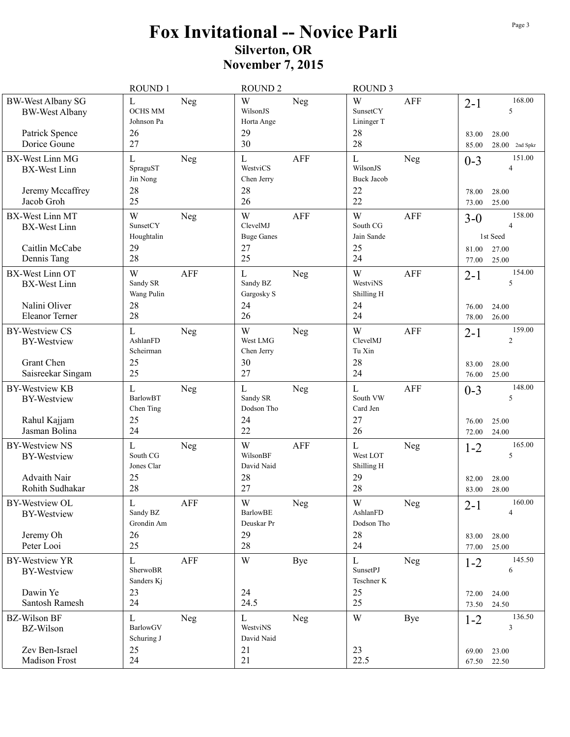| 168.00<br>W<br>W<br><b>BW-West Albany SG</b><br>$\mathbf L$<br><b>AFF</b><br>Neg<br>Neg<br>$2 - 1$<br><b>OCHS MM</b><br>WilsonJS<br>SunsetCY<br>5<br><b>BW-West Albany</b><br>Johnson Pa<br>Horta Ange<br>Lininger T<br>28<br>29<br>26<br>Patrick Spence<br>28.00<br>83.00<br>27<br>30<br>28<br>Dorice Goune<br>$28.00$ 2nd Spkr<br>85.00<br>151.00<br>$\mathbf L$<br>$\mathbf{L}$<br><b>AFF</b><br>BX-West Linn MG<br>Neg<br>L<br>Neg<br>$0 - 3$<br>WestviCS<br>WilsonJS<br>SpraguST<br>$\overline{4}$<br><b>BX-West Linn</b><br>Jin Nong<br>Chen Jerry<br><b>Buck Jacob</b><br>28<br>28<br>22<br>Jeremy Mccaffrey<br>78.00<br>28.00<br>25<br>26<br>Jacob Groh<br>22<br>25.00<br>73.00<br>158.00<br>W<br>W<br>BX-West Linn MT<br>W<br><b>AFF</b><br><b>AFF</b><br>Neg<br>$3 - 0$<br>SunsetCY<br>ClevelMJ<br>South CG<br>$\overline{4}$<br><b>BX-West Linn</b><br>Jain Sande<br>1st Seed<br>Houghtalin<br><b>Buge Ganes</b><br>27<br>25<br>Caitlin McCabe<br>29<br>27.00<br>81.00<br>25<br>28<br>24<br>Dennis Tang<br>25.00<br>77.00<br>W<br>154.00<br><b>BX-West Linn OT</b><br>W<br><b>AFF</b><br>$\mathbf{L}$<br><b>AFF</b><br>Neg<br>$2 - 1$<br>Sandy SR<br>Sandy BZ<br>WestviNS<br>5<br><b>BX-West Linn</b><br>Wang Pulin<br>Gargosky S<br>Shilling H<br>Nalini Oliver<br>24<br>24<br>28<br>76.00<br>24.00<br>28<br>26<br>24<br><b>Eleanor Terner</b><br>26.00<br>78.00<br>W<br>W<br>159.00<br><b>BY-Westview CS</b><br>$\mathbf L$<br><b>AFF</b><br>Neg<br>Neg<br>$2 - 1$<br>ClevelMJ<br>AshlanFD<br>West LMG<br>$\overline{2}$<br><b>BY-Westview</b><br>Scheirman<br>Tu Xin<br>Chen Jerry<br>Grant Chen<br>25<br>30<br>28<br>28.00<br>83.00 |  |
|----------------------------------------------------------------------------------------------------------------------------------------------------------------------------------------------------------------------------------------------------------------------------------------------------------------------------------------------------------------------------------------------------------------------------------------------------------------------------------------------------------------------------------------------------------------------------------------------------------------------------------------------------------------------------------------------------------------------------------------------------------------------------------------------------------------------------------------------------------------------------------------------------------------------------------------------------------------------------------------------------------------------------------------------------------------------------------------------------------------------------------------------------------------------------------------------------------------------------------------------------------------------------------------------------------------------------------------------------------------------------------------------------------------------------------------------------------------------------------------------------------------------------------------------------------------------------------------------------------------------------------------------------|--|
|                                                                                                                                                                                                                                                                                                                                                                                                                                                                                                                                                                                                                                                                                                                                                                                                                                                                                                                                                                                                                                                                                                                                                                                                                                                                                                                                                                                                                                                                                                                                                                                                                                                    |  |
|                                                                                                                                                                                                                                                                                                                                                                                                                                                                                                                                                                                                                                                                                                                                                                                                                                                                                                                                                                                                                                                                                                                                                                                                                                                                                                                                                                                                                                                                                                                                                                                                                                                    |  |
|                                                                                                                                                                                                                                                                                                                                                                                                                                                                                                                                                                                                                                                                                                                                                                                                                                                                                                                                                                                                                                                                                                                                                                                                                                                                                                                                                                                                                                                                                                                                                                                                                                                    |  |
|                                                                                                                                                                                                                                                                                                                                                                                                                                                                                                                                                                                                                                                                                                                                                                                                                                                                                                                                                                                                                                                                                                                                                                                                                                                                                                                                                                                                                                                                                                                                                                                                                                                    |  |
|                                                                                                                                                                                                                                                                                                                                                                                                                                                                                                                                                                                                                                                                                                                                                                                                                                                                                                                                                                                                                                                                                                                                                                                                                                                                                                                                                                                                                                                                                                                                                                                                                                                    |  |
|                                                                                                                                                                                                                                                                                                                                                                                                                                                                                                                                                                                                                                                                                                                                                                                                                                                                                                                                                                                                                                                                                                                                                                                                                                                                                                                                                                                                                                                                                                                                                                                                                                                    |  |
|                                                                                                                                                                                                                                                                                                                                                                                                                                                                                                                                                                                                                                                                                                                                                                                                                                                                                                                                                                                                                                                                                                                                                                                                                                                                                                                                                                                                                                                                                                                                                                                                                                                    |  |
|                                                                                                                                                                                                                                                                                                                                                                                                                                                                                                                                                                                                                                                                                                                                                                                                                                                                                                                                                                                                                                                                                                                                                                                                                                                                                                                                                                                                                                                                                                                                                                                                                                                    |  |
| 25<br>27<br>24<br>Saisreekar Singam<br>76.00<br>25.00                                                                                                                                                                                                                                                                                                                                                                                                                                                                                                                                                                                                                                                                                                                                                                                                                                                                                                                                                                                                                                                                                                                                                                                                                                                                                                                                                                                                                                                                                                                                                                                              |  |
| 148.00<br><b>BY-Westview KB</b><br>$\mathbf L$<br>$\mathbf{L}$<br>L<br>AFF<br>Neg<br>Neg<br>$0 - 3$<br>5<br><b>BarlowBT</b><br>South VW<br>Sandy SR<br><b>BY-Westview</b><br>Dodson Tho<br>Card Jen<br>Chen Ting                                                                                                                                                                                                                                                                                                                                                                                                                                                                                                                                                                                                                                                                                                                                                                                                                                                                                                                                                                                                                                                                                                                                                                                                                                                                                                                                                                                                                                   |  |
| 24<br>27<br>Rahul Kajjam<br>25<br>76.00<br>25.00<br>22<br>24<br>Jasman Bolina<br>26<br>24.00<br>72.00                                                                                                                                                                                                                                                                                                                                                                                                                                                                                                                                                                                                                                                                                                                                                                                                                                                                                                                                                                                                                                                                                                                                                                                                                                                                                                                                                                                                                                                                                                                                              |  |
| W<br>165.00<br><b>BY-Westview NS</b><br>L<br><b>AFF</b><br>L<br>Neg<br>Neg<br>$1 - 2$<br>5<br>South CG<br>WilsonBF<br>West LOT<br><b>BY-Westview</b><br>Jones Clar<br>David Naid<br>Shilling H<br>Advaith Nair<br>28<br>29<br>25<br>28.00<br>82.00<br>28<br>27<br>28<br>Rohith Sudhakar                                                                                                                                                                                                                                                                                                                                                                                                                                                                                                                                                                                                                                                                                                                                                                                                                                                                                                                                                                                                                                                                                                                                                                                                                                                                                                                                                            |  |
| 28.00<br>83.00<br>160.00                                                                                                                                                                                                                                                                                                                                                                                                                                                                                                                                                                                                                                                                                                                                                                                                                                                                                                                                                                                                                                                                                                                                                                                                                                                                                                                                                                                                                                                                                                                                                                                                                           |  |
| $\mathbf L$<br>W<br>$\ensuremath{\text{W}}$<br>AFF<br>${\hbox{Neg}}$<br>${\hbox{Neg}}$<br>BY-Westview OL<br>$2 - 1$<br>Sandy BZ<br><b>BarlowBE</b><br>AshlanFD<br>4<br><b>BY-Westview</b><br>Grondin Am<br>Deuskar Pr<br>Dodson Tho<br>29<br>28<br>Jeremy Oh<br>26<br>83.00<br>28.00                                                                                                                                                                                                                                                                                                                                                                                                                                                                                                                                                                                                                                                                                                                                                                                                                                                                                                                                                                                                                                                                                                                                                                                                                                                                                                                                                               |  |
| Peter Looi<br>25<br>28<br>24<br>77.00<br>25.00                                                                                                                                                                                                                                                                                                                                                                                                                                                                                                                                                                                                                                                                                                                                                                                                                                                                                                                                                                                                                                                                                                                                                                                                                                                                                                                                                                                                                                                                                                                                                                                                     |  |
| 145.50<br>$\mathbf L$<br>AFF<br>$\ensuremath{\text{W}}$<br>$\mathbf L$<br><b>BY-Westview YR</b><br>Bye<br>Neg<br>$1 - 2$<br>SherwoBR<br><b>SunsetPJ</b><br>6<br><b>BY-Westview</b><br>Sanders Kj<br>Teschner K                                                                                                                                                                                                                                                                                                                                                                                                                                                                                                                                                                                                                                                                                                                                                                                                                                                                                                                                                                                                                                                                                                                                                                                                                                                                                                                                                                                                                                     |  |
| Dawin Ye<br>23<br>24<br>25<br>24.00<br>72.00<br>25                                                                                                                                                                                                                                                                                                                                                                                                                                                                                                                                                                                                                                                                                                                                                                                                                                                                                                                                                                                                                                                                                                                                                                                                                                                                                                                                                                                                                                                                                                                                                                                                 |  |
| 24<br>24.5<br>Santosh Ramesh<br>24.50<br>73.50                                                                                                                                                                                                                                                                                                                                                                                                                                                                                                                                                                                                                                                                                                                                                                                                                                                                                                                                                                                                                                                                                                                                                                                                                                                                                                                                                                                                                                                                                                                                                                                                     |  |
| $\mathbf L$<br>136.50<br><b>BZ-Wilson BF</b><br>$\ensuremath{\text{W}}$<br>Neg<br>$\mathbf{L}$<br>Neg<br>Bye<br>$1 - 2$<br>$\overline{3}$<br>BarlowGV<br>WestviNS<br><b>BZ-Wilson</b><br>Schuring J<br>David Naid                                                                                                                                                                                                                                                                                                                                                                                                                                                                                                                                                                                                                                                                                                                                                                                                                                                                                                                                                                                                                                                                                                                                                                                                                                                                                                                                                                                                                                  |  |
| Zev Ben-Israel<br>25<br>23<br>21<br>23.00<br>69.00<br>24<br>21<br>22.5<br>Madison Frost<br>67.50 22.50                                                                                                                                                                                                                                                                                                                                                                                                                                                                                                                                                                                                                                                                                                                                                                                                                                                                                                                                                                                                                                                                                                                                                                                                                                                                                                                                                                                                                                                                                                                                             |  |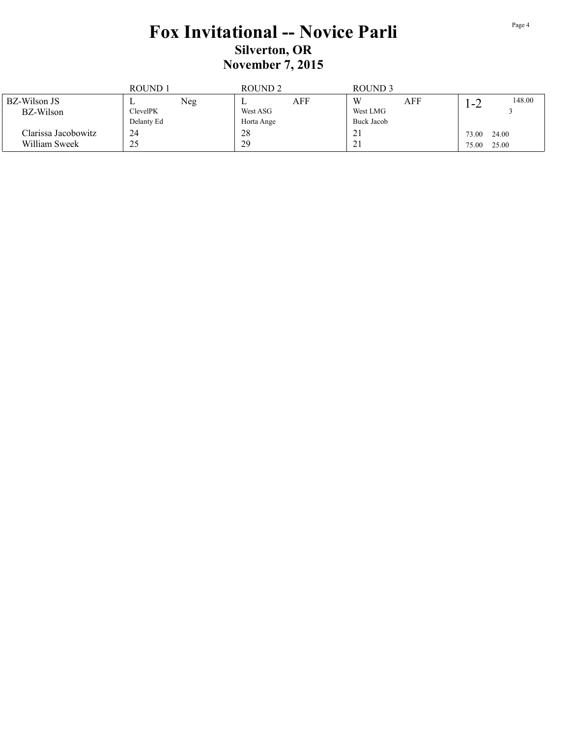|                     | ROUND <sub>1</sub> |     | ROUND <sub>2</sub> |     | ROUND <sub>3</sub>    |     |       |        |
|---------------------|--------------------|-----|--------------------|-----|-----------------------|-----|-------|--------|
| BZ-Wilson JS        |                    | Neg | ∸                  | AFF | W                     | AFF | 1 – 2 | 148.00 |
| BZ-Wilson           | <b>ClevelPK</b>    |     | West ASG           |     | West LMG              |     |       |        |
|                     | Delanty Ed         |     | Horta Ange         |     | Buck Jacob            |     |       |        |
| Clarissa Jacobowitz | 24                 |     | 28                 |     | $\angle$ 1            |     | 73.00 | 24.00  |
| William Sweek       | 25                 |     | 29                 |     | $\bigcap$<br>$\angle$ |     | 75.00 | 25.00  |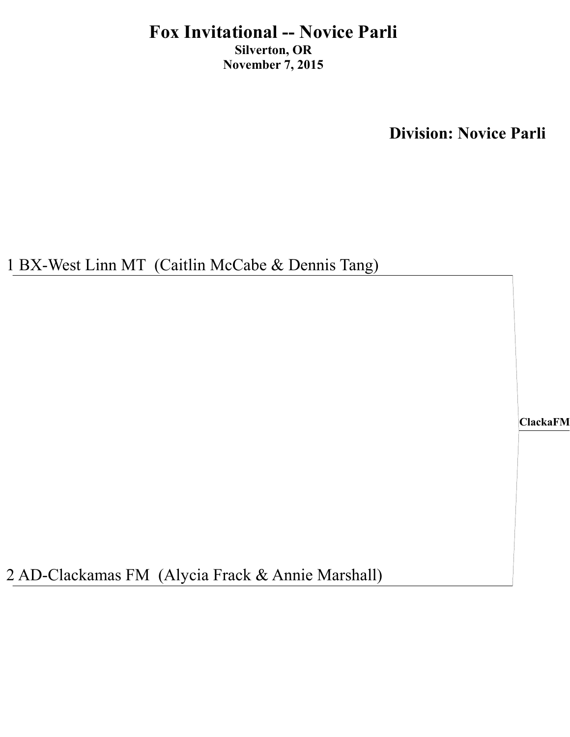**Division: Novice Parli**

1 BX-West Linn MT (Caitlin McCabe & Dennis Tang)

**ClackaFM**

2 AD-Clackamas FM (Alycia Frack & Annie Marshall)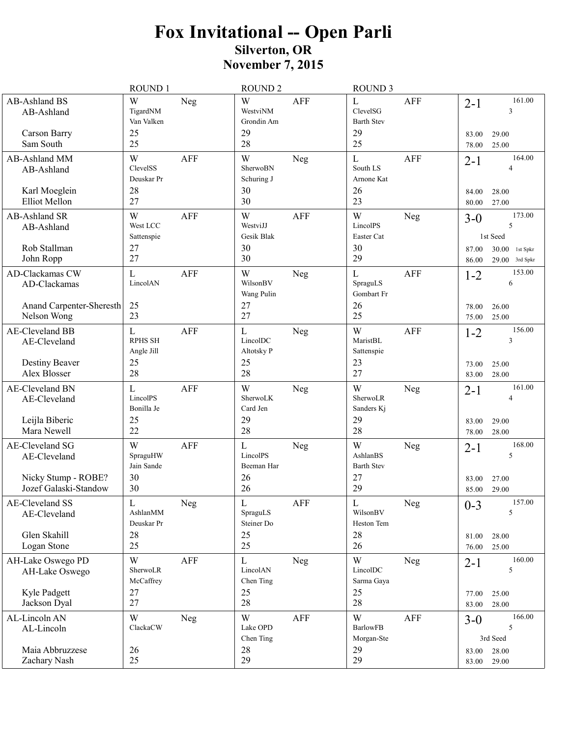# Fox Invitational -- Open Parli<br>Silverton, OR<br>November 7, 2015

|                                                             | <b>ROUND1</b>                         |                | <b>ROUND 2</b>                         |             | <b>ROUND 3</b>                                      |            |                  |                                      |
|-------------------------------------------------------------|---------------------------------------|----------------|----------------------------------------|-------------|-----------------------------------------------------|------------|------------------|--------------------------------------|
| <b>AB-Ashland BS</b><br>AB-Ashland<br>Carson Barry          | W<br>TigardNM<br>Van Valken<br>25     | Neg            | W<br>WestviNM<br>Grondin Am<br>29      | <b>AFF</b>  | $\mathbf{L}$<br>ClevelSG<br><b>Barth Stev</b><br>29 | <b>AFF</b> | $2 - 1$<br>83.00 | 161.00<br>3<br>29.00                 |
| Sam South                                                   | 25                                    |                | 28                                     |             | 25                                                  |            | 78.00            | 25.00                                |
| AB-Ashland MM<br>AB-Ashland                                 | W<br>ClevelSS<br>Deuskar Pr           | <b>AFF</b>     | W<br>SherwoBN<br>Schuring J            | Neg         | $\mathbf L$<br>South LS<br>Arnone Kat               | <b>AFF</b> | $2 - 1$          | 164.00<br>4                          |
| Karl Moeglein<br>Elliot Mellon                              | 28<br>27                              |                | 30<br>30                               |             | 26<br>23                                            |            | 84.00<br>80.00   | 28.00<br>27.00                       |
| AB-Ashland SR<br>AB-Ashland                                 | W<br>West LCC<br>Sattenspie           | <b>AFF</b>     | W<br>WestviJJ<br>Gesik Blak            | <b>AFF</b>  | W<br>LincolPS<br>Easter Cat                         | Neg        | $3 - 0$          | 173.00<br>5<br>1st Seed              |
| Rob Stallman<br>John Ropp                                   | 27<br>27                              |                | 30<br>30                               |             | 30<br>29                                            |            | 87.00<br>86.00   | $30.00$ 1st Spkr<br>$29.00$ 3rd Spkr |
| AD-Clackamas CW<br>AD-Clackamas<br>Anand Carpenter-Sheresth | L<br>LincolAN<br>25                   | <b>AFF</b>     | W<br>WilsonBV<br>Wang Pulin<br>27      | Neg         | $\mathbf{L}$<br>SpraguLS<br>Gombart Fr<br>26        | <b>AFF</b> | $1 - 2$<br>78.00 | 153.00<br>6<br>26.00                 |
| Nelson Wong                                                 | 23                                    |                | 27                                     |             | 25                                                  |            | 75.00            | 25.00                                |
| <b>AE-Cleveland BB</b><br>AE-Cleveland                      | L<br><b>RPHS SH</b><br>Angle Jill     | <b>AFF</b>     | $\mathbf L$<br>LincolDC<br>Altotsky P  | Neg         | W<br>MaristBL<br>Sattenspie                         | <b>AFF</b> | $1 - 2$          | 156.00<br>3                          |
| Destiny Beaver<br>Alex Blosser                              | 25<br>28                              |                | 25<br>28                               |             | 23<br>27                                            |            | 73.00<br>83.00   | 25.00<br>28.00                       |
| AE-Cleveland BN<br>AE-Cleveland<br>Leijla Biberic           | L<br>LincolPS<br>Bonilla Je<br>25     | AFF            | W<br>SherwoLK<br>Card Jen<br>29        | Neg         | W<br>SherwoLR<br>Sanders Kj<br>29                   | Neg        | $2 - 1$<br>83.00 | 161.00<br>4<br>29.00                 |
| Mara Newell                                                 | 22                                    |                | 28                                     |             | 28                                                  |            | 78.00            | 28.00                                |
| AE-Cleveland SG<br>AE-Cleveland                             | W<br>SpraguHW<br>Jain Sande           | <b>AFF</b>     | $\mathbf{L}$<br>LincolPS<br>Beeman Har | Neg         | W<br>AshlanBS<br><b>Barth Stev</b>                  | Neg        | $2 - 1$          | 168.00<br>5                          |
| Nicky Stump - ROBE?<br>Jozef Galaski-Standow                | 30<br>30                              |                | 26<br>26                               |             | 27<br>29                                            |            | 83.00<br>85.00   | 27.00<br>29.00                       |
| AE-Cleveland SS<br>AE-Cleveland                             | $\mathbf L$<br>AshlanMM<br>Deuskar Pr | ${\hbox{Neg}}$ | $\mathbf L$<br>SpraguLS<br>Steiner Do  | ${\sf AFF}$ | $\mathbf L$<br>WilsonBV<br>Heston Tem               | Neg        | $0 - 3$          | 157.00<br>5                          |
| Glen Skahill<br>Logan Stone                                 | 28<br>25                              |                | 25<br>25                               |             | 28<br>26                                            |            | 81.00<br>76.00   | 28.00<br>25.00                       |
| AH-Lake Oswego PD<br>AH-Lake Oswego                         | W<br>SherwoLR<br>McCaffrey            | <b>AFF</b>     | L<br>LincolAN<br>Chen Ting             | Neg         | W<br>LincolDC<br>Sarma Gaya                         | <b>Neg</b> | $2 - 1$          | 160.00<br>5                          |
| Kyle Padgett<br>Jackson Dyal                                | 27<br>27                              |                | 25<br>28                               |             | 25<br>28                                            |            | 77.00<br>83.00   | 25.00<br>28.00                       |
| AL-Lincoln AN                                               | W                                     | Neg            | W                                      | <b>AFF</b>  | W                                                   | AFF        | $3 - 0$          | 166.00                               |
| AL-Lincoln                                                  | ClackaCW                              |                | Lake OPD<br>Chen Ting                  |             | <b>BarlowFB</b><br>Morgan-Ste                       |            |                  | 5<br>3rd Seed                        |
| Maia Abbruzzese<br>Zachary Nash                             | 26<br>25                              |                | 28<br>29                               |             | 29<br>29                                            |            | 83.00<br>83.00   | 28.00<br>29.00                       |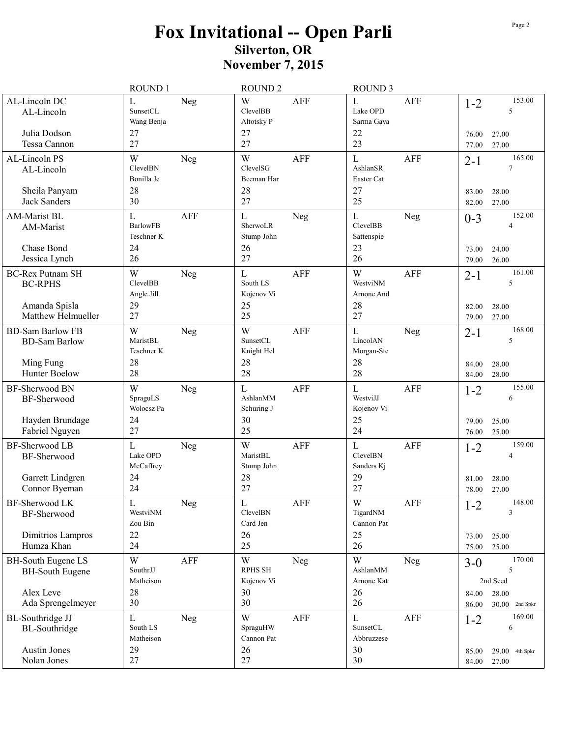## Fox Invitational -- Open Parli<br>Silverton, OR<br>November 7, 2015

|                                                                                  | ROUND 1                                        |                | <b>ROUND 2</b>                                 |             | <b>ROUND 3</b>                                    |            |                           |                                       |
|----------------------------------------------------------------------------------|------------------------------------------------|----------------|------------------------------------------------|-------------|---------------------------------------------------|------------|---------------------------|---------------------------------------|
| AL-Lincoln DC<br>AL-Lincoln<br>Julia Dodson<br>Tessa Cannon                      | L<br>SunsetCL<br>Wang Benja<br>27<br>27        | Neg            | W<br><b>ClevelBB</b><br>Altotsky P<br>27<br>27 | <b>AFF</b>  | $\mathbf L$<br>Lake OPD<br>Sarma Gaya<br>22<br>23 | <b>AFF</b> | $1 - 2$<br>76.00<br>77.00 | 153.00<br>5<br>27.00<br>27.00         |
| AL-Lincoln PS<br>AL-Lincoln                                                      | W<br><b>ClevelBN</b><br>Bonilla Je             | Neg            | W<br>ClevelSG<br>Beeman Har                    | AFF         | L<br>AshlanSR<br>Easter Cat                       | AFF        | $2 - 1$                   | 165.00<br>7                           |
| Sheila Panyam<br>Jack Sanders                                                    | 28<br>30                                       |                | 28<br>27                                       |             | 27<br>25                                          |            | 83.00<br>82.00            | 28.00<br>27.00                        |
| <b>AM-Marist BL</b><br>AM-Marist<br>Chase Bond                                   | L<br><b>BarlowFB</b><br>Teschner K<br>24       | <b>AFF</b>     | L<br>SherwoLR<br>Stump John<br>26              | Neg         | $\mathbf L$<br>ClevelBB<br>Sattenspie<br>23       | Neg        | $0 - 3$<br>73.00          | 152.00<br>$\overline{4}$<br>24.00     |
| Jessica Lynch                                                                    | 26                                             |                | 27                                             |             | 26                                                |            | 79.00                     | 26.00                                 |
| <b>BC-Rex Putnam SH</b><br><b>BC-RPHS</b><br>Amanda Spisla<br>Matthew Helmueller | W<br><b>ClevelBB</b><br>Angle Jill<br>29<br>27 | <b>Neg</b>     | L<br>South LS<br>Kojenov Vi<br>25<br>25        | AFF         | W<br>WestviNM<br>Arnone And<br>28<br>27           | AFF        | $2 - 1$<br>82.00<br>79.00 | 161.00<br>5<br>28.00<br>27.00         |
| <b>BD-Sam Barlow FB</b><br><b>BD-Sam Barlow</b>                                  | W<br>MaristBL<br>Teschner K                    | <b>Neg</b>     | W<br>SunsetCL<br>Knight Hel                    | <b>AFF</b>  | L<br>LincolAN<br>Morgan-Ste                       | <b>Neg</b> | $2 - 1$                   | 168.00<br>5                           |
| Ming Fung<br>Hunter Boelow                                                       | 28<br>28                                       |                | 28<br>28                                       |             | 28<br>28                                          |            | 84.00<br>84.00            | 28.00<br>28.00                        |
| BF-Sherwood BN<br>BF-Sherwood<br>Hayden Brundage                                 | W<br>SpraguLS<br>Wolocsz Pa<br>24              | Neg            | L<br>AshlanMM<br>Schuring J<br>30              | <b>AFF</b>  | $\mathbf L$<br>WestviJJ<br>Kojenov Vi<br>25       | AFF        | $1 - 2$<br>79.00          | 155.00<br>6<br>25.00                  |
| Fabriel Nguyen                                                                   | 27                                             |                | 25                                             |             | 24                                                |            | 76.00                     | 25.00                                 |
| <b>BF-Sherwood LB</b><br>BF-Sherwood<br>Garrett Lindgren                         | L<br>Lake OPD<br>McCaffrey<br>24               | Neg            | W<br>MaristBL<br>Stump John<br>28              | <b>AFF</b>  | L<br><b>ClevelBN</b><br>Sanders Ki<br>29          | <b>AFF</b> | $1 - 2$<br>81.00          | 159.00<br>$\overline{4}$<br>28.00     |
| Connor Byeman                                                                    | 24                                             |                | 27                                             |             | 27                                                |            | 78.00                     | 27.00<br>148.00                       |
| BF-Sherwood LK<br>BF-Sherwood<br>Dimitrios Lampros                               | $\mathbf L$<br>WestviNM<br>Zou Bin<br>22       | ${\hbox{Neg}}$ | $\overline{L}$<br>ClevelBN<br>Card Jen<br>26   | ${\sf AFF}$ | $\mathbf W$<br>TigardNM<br>Cannon Pat<br>25       | AFF        | $1 - 2$<br>73.00          | 3<br>25.00                            |
| Humza Khan                                                                       | 24                                             |                | 25                                             |             | 26                                                |            | 75.00                     | 25.00                                 |
| <b>BH-South Eugene LS</b><br><b>BH-South Eugene</b>                              | W<br>SouthrJJ                                  | AFF            | W<br><b>RPHS SH</b>                            | Neg         | $\ensuremath{\text{W}}$<br>AshlanMM               | Neg        | $3-0$                     | 170.00<br>5                           |
| Alex Leve<br>Ada Sprengelmeyer                                                   | Matheison<br>28<br>30                          |                | Kojenov Vi<br>30<br>30                         |             | Arnone Kat<br>26<br>26                            |            | 84.00<br>86.00            | 2nd Seed<br>28.00<br>$30.00$ 2nd Spkr |
| <b>BL-Southridge JJ</b><br>BL-Southridge                                         | L<br>South LS<br>Matheison                     | Neg            | W<br>SpraguHW<br>Cannon Pat                    | AFF         | L<br>SunsetCL<br>Abbruzzese                       | AFF        | $1 - 2$                   | 169.00<br>6                           |
| Austin Jones<br>Nolan Jones                                                      | 29<br>27                                       |                | 26<br>27                                       |             | 30<br>30                                          |            | 85.00<br>84.00            | $29.00$ 4th Spkr<br>27.00             |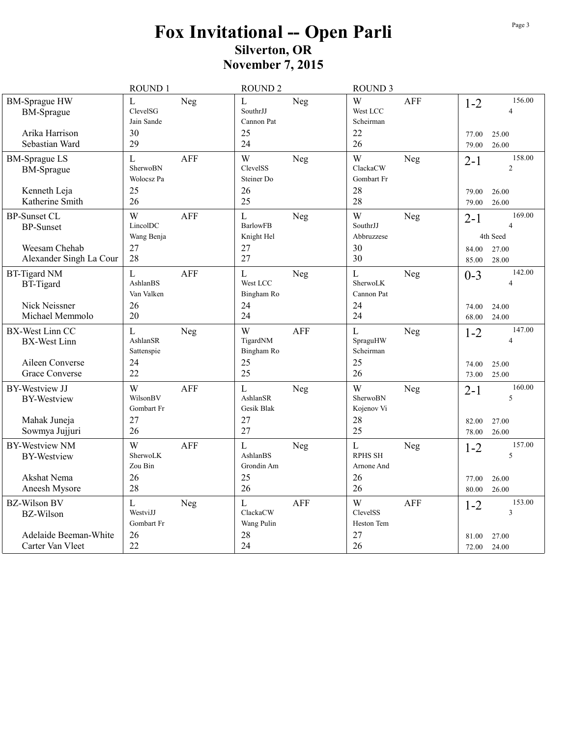## Fox Invitational -- Open Parli<br>Silverton, OR<br>November 7, 2015

|                                                           | ROUND 1                                |            | <b>ROUND 2</b>                                      |            | <b>ROUND 3</b>                              |            |                  |                                                    |
|-----------------------------------------------------------|----------------------------------------|------------|-----------------------------------------------------|------------|---------------------------------------------|------------|------------------|----------------------------------------------------|
| <b>BM-Sprague HW</b><br><b>BM-Sprague</b>                 | L<br>ClevelSG<br>Jain Sande            | Neg        | L<br>SouthrJJ<br>Cannon Pat                         | Neg        | W<br>West LCC<br>Scheirman                  | <b>AFF</b> | $1 - 2$          | 156.00<br>$\overline{4}$                           |
| Arika Harrison<br>Sebastian Ward                          | 30<br>29                               |            | 25<br>24                                            |            | 22<br>26                                    |            | 77.00<br>79.00   | 25.00<br>26.00                                     |
| <b>BM-Sprague LS</b><br><b>BM-Sprague</b><br>Kenneth Leja | L<br>SherwoBN<br>Wolocsz Pa<br>25      | <b>AFF</b> | W<br>ClevelSS<br>Steiner Do<br>26                   | Neg        | W<br>ClackaCW<br>Gombart Fr<br>28           | Neg        | $2 - 1$<br>79.00 | 158.00<br>$\overline{2}$<br>26.00                  |
| Katherine Smith                                           | 26                                     |            | 25                                                  |            | 28                                          |            | 79.00            | 26.00                                              |
| <b>BP-Sunset CL</b><br><b>BP-Sunset</b><br>Weesam Chehab  | W<br>LincolDC<br>Wang Benja<br>27      | <b>AFF</b> | $\mathbf{L}$<br><b>BarlowFB</b><br>Knight Hel<br>27 | Neg        | W<br>SouthrJJ<br>Abbruzzese<br>30           | Neg        | $2 - 1$<br>84.00 | 169.00<br>$\overline{\Delta}$<br>4th Seed<br>27.00 |
| Alexander Singh La Cour                                   | 28                                     |            | 27                                                  |            | 30                                          |            | 85.00            | 28.00                                              |
| <b>BT-Tigard NM</b><br><b>BT-Tigard</b>                   | $\mathbf L$<br>AshlanBS<br>Van Valken  | <b>AFF</b> | $\overline{L}$<br>West LCC<br>Bingham Ro            | Neg        | $\mathbf L$<br>SherwoLK<br>Cannon Pat       | Neg        | $0 - 3$          | 142.00<br>$\overline{4}$                           |
| Nick Neissner<br>Michael Memmolo                          | 26<br>20                               |            | 24<br>24                                            |            | 24<br>24                                    |            | 74.00<br>68.00   | 24.00<br>24.00                                     |
| BX-West Linn CC<br><b>BX-West Linn</b>                    | $\mathbf L$<br>AshlanSR<br>Sattenspie  | Neg        | W<br>TigardNM<br>Bingham Ro                         | <b>AFF</b> | $\mathbf L$<br>SpraguHW<br>Scheirman        | Neg        | $1 - 2$          | 147.00<br>$\overline{4}$                           |
| Aileen Converse<br><b>Grace Converse</b>                  | 24<br>22                               |            | 25<br>25                                            |            | 25<br>26                                    |            | 74.00<br>73.00   | 25.00<br>25.00                                     |
| <b>BY-Westview JJ</b><br><b>BY-Westview</b>               | W<br>WilsonBV<br>Gombart Fr            | AFF        | L<br>AshlanSR<br>Gesik Blak                         | Neg        | W<br>SherwoBN<br>Kojenov Vi                 | Neg        | $2 - 1$          | 160.00<br>5                                        |
| Mahak Juneja<br>Sowmya Jujjuri                            | 27<br>26                               |            | 27<br>27                                            |            | 28<br>25                                    |            | 82.00<br>78.00   | 27.00<br>26.00                                     |
| <b>BY-Westview NM</b><br><b>BY-Westview</b>               | W<br>SherwoLK<br>Zou Bin               | <b>AFF</b> | L<br>AshlanBS<br>Grondin Am                         | Neg        | $\mathbf L$<br><b>RPHS SH</b><br>Arnone And | <b>Neg</b> | $1 - 2$          | 157.00<br>5                                        |
| Akshat Nema<br>Aneesh Mysore                              | 26<br>28                               |            | 25<br>26                                            |            | 26<br>26                                    |            | 77.00<br>80.00   | 26.00<br>26.00                                     |
| <b>BZ-Wilson BV</b><br><b>BZ-Wilson</b>                   | $\mathbf{L}$<br>WestviJJ<br>Gombart Fr | Neg        | $\mathbf{L}$<br>ClackaCW<br>Wang Pulin              | <b>AFF</b> | W<br><b>ClevelSS</b><br>Heston Tem          | <b>AFF</b> | $1 - 2$          | 153.00<br>$\overline{3}$                           |
| Adelaide Beeman-White<br>Carter Van Vleet                 | 26<br>22                               |            | 28<br>24                                            |            | 27<br>26                                    |            | 81.00<br>72.00   | 27.00<br>24.00                                     |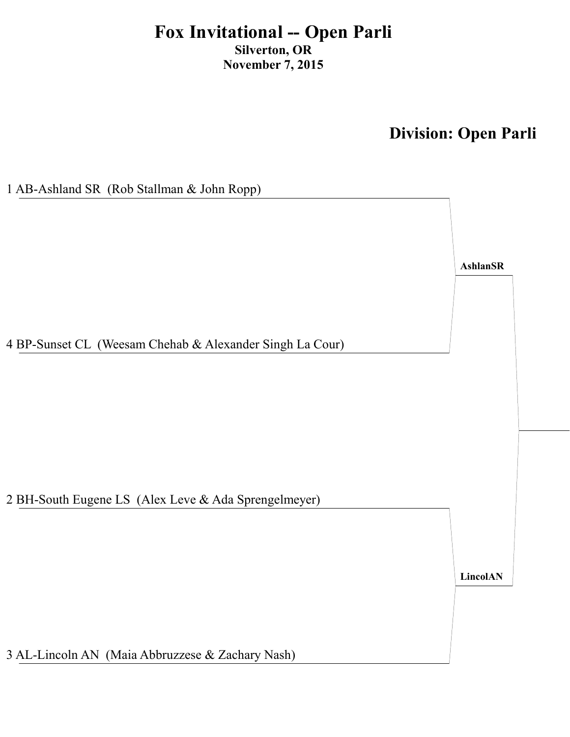## **Division: Open Parli**

**Ash** 

1 AB-Ashland SR (Rob Stallman & John Ropp)

4 BP-Sunset CL (Weesam Chehab & Alexander Singh La Cour)

2 BH-South Eugene LS (Alex Leve & Ada Sprengelmeyer)

LincolAN

3 AL-Lincoln AN (Maia Abbruzzese & Zachary Nash)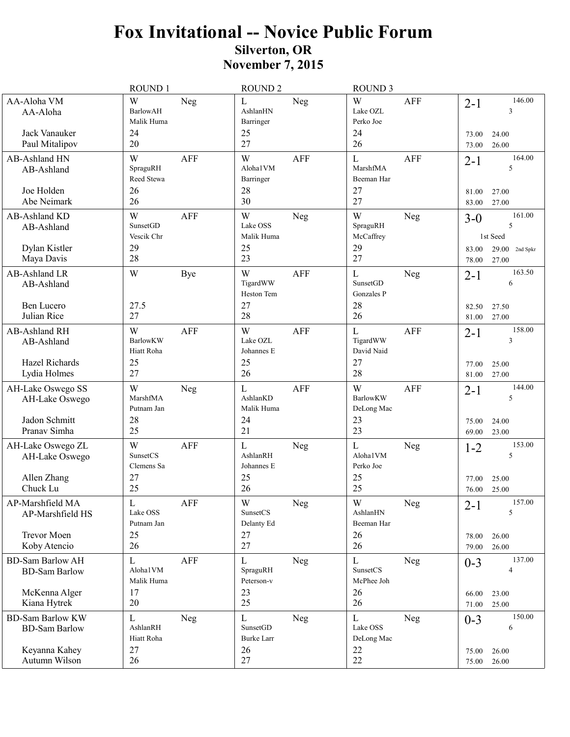|                                                                      | ROUND 1                                                      | <b>ROUND 2</b>                                                      | <b>ROUND 3</b>                                                      |                                                            |
|----------------------------------------------------------------------|--------------------------------------------------------------|---------------------------------------------------------------------|---------------------------------------------------------------------|------------------------------------------------------------|
| AA-Aloha VM<br>AA-Aloha<br>Jack Vanauker<br>Paul Mitalipov           | W<br>Neg<br><b>BarlowAH</b><br>Malik Huma<br>24<br>20        | $\mathbf L$<br>Neg<br>AshlanHN<br>Barringer<br>25<br>27             | W<br><b>AFF</b><br>Lake OZL<br>Perko Joe<br>24<br>26                | 146.00<br>$2 - 1$<br>3<br>73.00<br>24.00<br>26.00<br>73.00 |
| AB-Ashland HN<br>AB-Ashland                                          | W<br><b>AFF</b><br>SpraguRH<br>Reed Stewa                    | W<br><b>AFF</b><br>Aloha1VM<br>Barringer                            | L<br>AFF<br>MarshfMA<br>Beeman Har                                  | 164.00<br>$2 - 1$<br>5                                     |
| Joe Holden<br>Abe Neimark                                            | 26<br>26                                                     | 28<br>30                                                            | 27<br>27                                                            | 27.00<br>81.00<br>27.00<br>83.00                           |
| AB-Ashland KD<br>AB-Ashland                                          | W<br><b>AFF</b><br><b>SunsetGD</b><br>Vescik Chr             | W<br>Neg<br>Lake OSS<br>Malik Huma                                  | W<br>Neg<br>SpraguRH<br>McCaffrey                                   | 161.00<br>$3-0$<br>5<br>1st Seed                           |
| Dylan Kistler<br>Maya Davis                                          | 29<br>28                                                     | 25<br>23                                                            | 29<br>27                                                            | $29.00$ 2nd Spkr<br>83.00<br>27.00<br>78.00                |
| AB-Ashland LR<br>AB-Ashland<br>Ben Lucero<br>Julian Rice             | W<br>Bye<br>27.5<br>27                                       | W<br><b>AFF</b><br>TigardWW<br>Heston Tem<br>27<br>28               | $\mathbf{L}$<br>Neg<br>SunsetGD<br>Gonzales P<br>28<br>26           | 163.50<br>$2 - 1$<br>6<br>82.50<br>27.50                   |
| AB-Ashland RH<br>AB-Ashland                                          | W<br><b>AFF</b><br><b>BarlowKW</b><br>Hiatt Roha             | W<br><b>AFF</b><br>Lake OZL<br>Johannes E                           | $\mathbf{L}$<br>AFF<br>TigardWW<br>David Naid                       | 27.00<br>81.00<br>158.00<br>$2 - 1$<br>3                   |
| Hazel Richards<br>Lydia Holmes                                       | 25<br>27                                                     | 25<br>26                                                            | 27<br>28                                                            | 25.00<br>77.00<br>81.00<br>27.00                           |
| AH-Lake Oswego SS<br>AH-Lake Oswego<br>Jadon Schmitt<br>Pranav Simha | W<br>Neg<br>MarshfMA<br>Putnam Jan<br>28<br>25               | $\mathbf L$<br><b>AFF</b><br>AshlanKD<br>Malik Huma<br>24<br>21     | W<br><b>AFF</b><br><b>BarlowKW</b><br>DeLong Mac<br>23<br>23        | 144.00<br>$2 - 1$<br>5<br>75.00<br>24.00<br>23.00<br>69.00 |
| AH-Lake Oswego ZL<br>AH-Lake Oswego<br>Allen Zhang<br>Chuck Lu       | <b>AFF</b><br>W<br><b>SunsetCS</b><br>Clemens Sa<br>27<br>25 | L<br>Neg<br>AshlanRH<br>Johannes E<br>25<br>26                      | L<br>Neg<br>Aloha1VM<br>Perko Joe<br>25<br>25                       | 153.00<br>$1 - 2$<br>5<br>25.00<br>77.00<br>25.00<br>76.00 |
| AP-Marshfield MA<br>AP-Marshfield HS<br>Trevor Moen<br>Koby Atencio  | $\mathbf L$<br>AFF<br>Lake OSS<br>Putnam Jan<br>25<br>26     | $\mathbf W$<br>${\hbox{Neg}}$<br>SunsetCS<br>Delanty Ed<br>27<br>27 | $\mathbf W$<br>${\hbox{Neg}}$<br>AshlanHN<br>Beeman Har<br>26<br>26 | 157.00<br>$2 - 1$<br>5<br>26.00<br>78.00<br>79.00<br>26.00 |
| <b>BD-Sam Barlow AH</b><br><b>BD-Sam Barlow</b><br>McKenna Alger     | L<br>AFF<br>Aloha1VM<br>Malik Huma<br>17                     | L<br>Neg<br>SpraguRH<br>Peterson-v<br>23                            | L<br>Neg<br>SunsetCS<br>McPhee Joh<br>26                            | 137.00<br>$0 - 3$<br>4<br>66.00<br>23.00                   |
| Kiana Hytrek<br><b>BD-Sam Barlow KW</b>                              | 20<br>L<br>Neg                                               | 25<br>$\mathbf L$<br>Neg                                            | 26<br>$\mathbf{L}$<br>Neg                                           | 71.00<br>25.00<br>150.00<br>$0 - 3$                        |
| <b>BD-Sam Barlow</b><br>Keyanna Kahey<br>Autumn Wilson               | AshlanRH<br>Hiatt Roha<br>27<br>26                           | SunsetGD<br><b>Burke Larr</b><br>26<br>27                           | Lake OSS<br>DeLong Mac<br>22<br>22                                  | 6<br>26.00<br>75.00<br>26.00<br>75.00                      |
|                                                                      |                                                              |                                                                     |                                                                     |                                                            |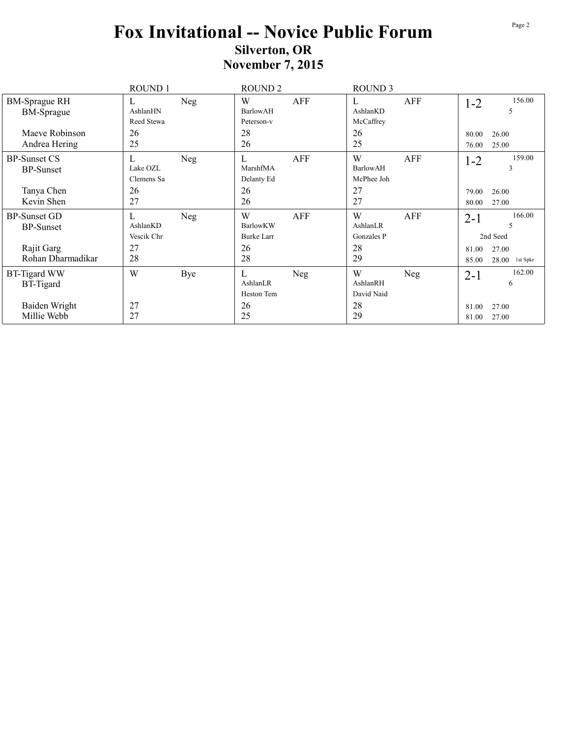|                                                       | <b>ROUND1</b>                     |     | ROUND <sub>2</sub>                 |     | <b>ROUND 3</b>                           |     |                  |                                                |
|-------------------------------------------------------|-----------------------------------|-----|------------------------------------|-----|------------------------------------------|-----|------------------|------------------------------------------------|
| <b>BM-Sprague RH</b><br><b>BM-Sprague</b>             | L<br>AshlanHN<br>Reed Stewa       | Neg | W<br>BarlowAH<br>Peterson-v        | AFF | L<br>AshlanKD<br>McCaffrey               | AFF | $1 - 2$          | 156.00<br>5                                    |
| Maeve Robinson<br>Andrea Hering                       | 26<br>25                          |     | 28<br>26                           |     | 26<br>25                                 |     | 80.00<br>76.00   | 26.00<br>25.00                                 |
| <b>BP-Sunset CS</b><br><b>BP-Sunset</b><br>Tanya Chen | L<br>Lake OZL<br>Clemens Sa<br>26 | Neg | L<br>MarshfMA<br>Delanty Ed<br>26  | AFF | W<br><b>BarlowAH</b><br>McPhee Joh<br>27 | AFF | $1 - 2$<br>79.00 | 159.00<br>3<br>26.00                           |
| Kevin Shen                                            | 27                                |     | 26                                 |     | 27                                       |     | 80.00            | 27.00                                          |
| <b>BP-Sunset GD</b><br><b>BP-Sunset</b>               | L<br>AshlanKD<br>Vescik Chr       | Neg | W<br>BarlowKW<br><b>Burke Larr</b> | AFF | W<br>AshlanLR<br>Gonzales P              | AFF | $2 - 1$          | 166.00<br>$\overline{\phantom{0}}$<br>2nd Seed |
| Rajit Garg<br>Rohan Dharmadikar                       | 27<br>28                          |     | 26<br>28                           |     | 28<br>29                                 |     | 81.00<br>85.00   | 27.00<br>$28.00$ 1st Spkr                      |
| <b>BT-Tigard WW</b><br><b>BT-Tigard</b>               | W                                 | Bye | L<br>AshlanLR<br>Heston Tem        | Neg | W<br>AshlanRH<br>David Naid              | Neg | $2 - 1$          | 162.00<br>6                                    |
| Baiden Wright<br>Millie Webb                          | 27<br>27                          |     | 26<br>25                           |     | 28<br>29                                 |     | 81.00<br>81.00   | 27.00<br>27.00                                 |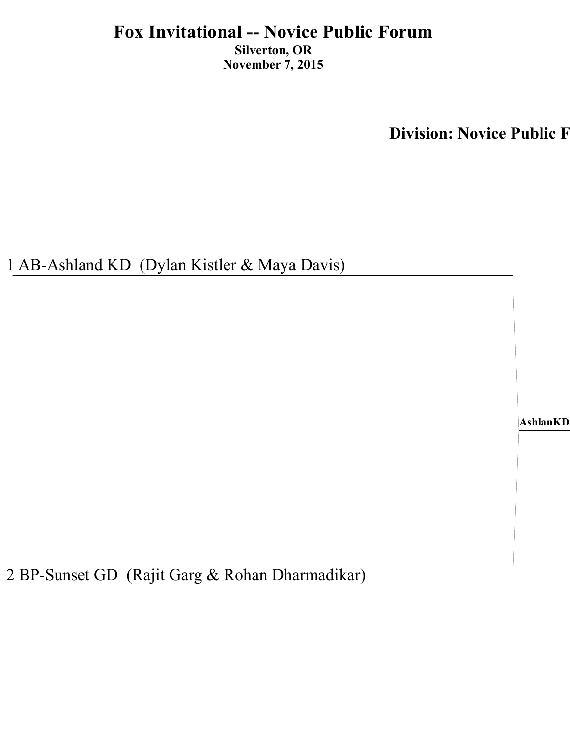**Division: Novice Public F** 

1 AB-Ashland KD (Dylan Kistler & Maya Davis)

**AshlanKD**

2 BP-Sunset GD (Rajit Garg & Rohan Dharmadikar)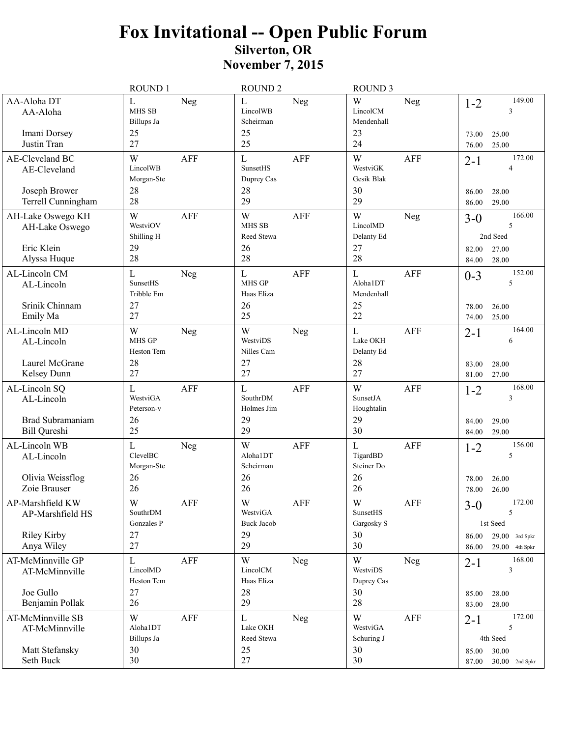## Fox Invitational -- Open Public Forum<br>Silverton, OR **November 7, 2015**

| AA-Aloha DT<br>L<br>Neg<br><b>MHS SB</b><br>AA-Aloha<br>Billups Ja<br>25<br>Imani Dorsey<br>Justin Tran<br>27<br>AE-Cleveland BC<br>W<br>LincolWB<br>AE-Cleveland<br>Morgan-Ste<br>28<br>Joseph Brower<br>28<br>Terrell Cunningham | <b>AFF</b><br><b>AFF</b> | L<br>LincolWB<br>Scheirman<br>25<br>25<br>$\mathbf L$<br>SunsetHS<br>Duprey Cas<br>28<br>29<br>W<br><b>MHS SB</b><br>Reed Stewa<br>26<br>28 | Neg<br><b>AFF</b><br><b>AFF</b> | W<br>LincolCM<br>Mendenhall<br>23<br>24<br>W<br>WestviGK<br>Gesik Blak<br>30<br>29<br>W<br>LincolMD<br>Delanty Ed | Neg<br><b>AFF</b><br>Neg | $1 - 2$<br>73.00<br>76.00<br>$2 - 1$<br>86.00<br>86.00<br>$3-0$ | 149.00<br>3<br>25.00<br>25.00<br>172.00<br>4<br>28.00<br>29.00  |
|------------------------------------------------------------------------------------------------------------------------------------------------------------------------------------------------------------------------------------|--------------------------|---------------------------------------------------------------------------------------------------------------------------------------------|---------------------------------|-------------------------------------------------------------------------------------------------------------------|--------------------------|-----------------------------------------------------------------|-----------------------------------------------------------------|
|                                                                                                                                                                                                                                    |                          |                                                                                                                                             |                                 |                                                                                                                   |                          |                                                                 |                                                                 |
|                                                                                                                                                                                                                                    |                          |                                                                                                                                             |                                 |                                                                                                                   |                          |                                                                 |                                                                 |
|                                                                                                                                                                                                                                    |                          |                                                                                                                                             |                                 |                                                                                                                   |                          |                                                                 |                                                                 |
| W<br>AH-Lake Oswego KH<br>WestviOV<br>AH-Lake Oswego<br>Shilling H<br>Eric Klein<br>29                                                                                                                                             |                          |                                                                                                                                             |                                 | 27                                                                                                                |                          | 82.00                                                           | 166.00<br>5<br>2nd Seed<br>27.00                                |
| 28<br>Alyssa Huque                                                                                                                                                                                                                 |                          |                                                                                                                                             |                                 | 28                                                                                                                |                          | 84.00                                                           | 28.00                                                           |
| L<br>AL-Lincoln CM<br>Neg<br>SunsetHS<br>AL-Lincoln<br>Tribble Em<br>Srinik Chinnam<br>27<br>27<br>Emily Ma                                                                                                                        |                          | $\mathbf L$<br><b>MHS GP</b><br>Haas Eliza<br>26<br>25                                                                                      | AFF                             | L<br>Aloha1DT<br>Mendenhall<br>25<br>22                                                                           | AFF                      | $0 - 3$<br>78.00<br>74.00                                       | 152.00<br>5<br>26.00<br>25.00                                   |
| AL-Lincoln MD<br>W<br>Neg<br><b>MHS GP</b><br>AL-Lincoln<br>Heston Tem                                                                                                                                                             |                          | W<br>WestviDS<br>Nilles Cam                                                                                                                 | Neg                             | $\mathbf{L}$<br>Lake OKH<br>Delanty Ed                                                                            | <b>AFF</b>               | $2 - 1$                                                         | 164.00<br>6                                                     |
| Laurel McGrane<br>28<br>27<br>Kelsey Dunn                                                                                                                                                                                          |                          | 27<br>27                                                                                                                                    |                                 | 28<br>27                                                                                                          |                          | 83.00<br>81.00                                                  | 28.00<br>27.00                                                  |
| L<br>AL-Lincoln SQ<br>WestviGA<br>AL-Lincoln<br>Peterson-v<br>Brad Subramaniam<br>26<br>25<br><b>Bill Qureshi</b>                                                                                                                  | <b>AFF</b>               | $\mathbf L$<br>SouthrDM<br>Holmes Jim<br>29<br>29                                                                                           | <b>AFF</b>                      | W<br>SunsetJA<br>Houghtalin<br>29<br>30                                                                           | <b>AFF</b>               | $1 - 2$<br>84.00<br>84.00                                       | 168.00<br>3<br>29.00<br>29.00                                   |
| AL-Lincoln WB<br>L<br>Neg<br>ClevelBC<br>AL-Lincoln<br>Morgan-Ste<br>Olivia Weissflog<br>26<br>26<br>Zoie Brauser                                                                                                                  |                          | W<br>Aloha1DT<br>Scheirman<br>26<br>26                                                                                                      | <b>AFF</b>                      | $\mathbf L$<br>TigardBD<br>Steiner Do<br>26<br>26                                                                 | <b>AFF</b>               | $1 - 2$<br>78.00<br>78.00                                       | 156.00<br>5<br>26.00<br>26.00                                   |
| W<br>AP-Marshfield KW<br>SouthrDM<br>AP-Marshfield HS<br>Gonzales P<br>27<br>Riley Kirby<br>Anya Wiley<br>27                                                                                                                       | ${\sf AFF}$              | $\mathbf W$<br>WestviGA<br><b>Buck Jacob</b><br>29<br>29                                                                                    | AFF                             | $\ensuremath{\text{W}}$<br>SunsetHS<br>Gargosky S<br>30<br>30                                                     | AFF                      | $3-0$<br>86.00<br>86.00                                         | 172.00<br>5<br>1st Seed<br>$29.00$ 3rd Spkr<br>$29.00$ 4th Spkr |
| AT-McMinnville GP<br>$\mathbf{L}$<br>LincolMD<br>AT-McMinnville<br>Heston Tem<br>Joe Gullo<br>27<br>26<br>Benjamin Pollak                                                                                                          | AFF                      | W<br>LincolCM<br>Haas Eliza<br>28<br>29                                                                                                     | Neg                             | W<br>WestviDS<br>Duprey Cas<br>30<br>28                                                                           | Neg                      | $2 - 1$<br>85.00<br>83.00                                       | 168.00<br>3<br>28.00<br>28.00                                   |
| AT-McMinnville SB<br>W<br>Aloha1DT<br>AT-McMinnville<br>Billups Ja<br>Matt Stefansky<br>30<br>30<br>Seth Buck                                                                                                                      | AFF                      | L<br>Lake OKH<br>Reed Stewa<br>25<br>27                                                                                                     | Neg                             | W<br>WestviGA<br>Schuring J<br>30<br>30                                                                           | <b>AFF</b>               | $2 - 1$<br>85.00<br>87.00                                       | 172.00<br>5<br>4th Seed<br>30.00<br>$30.00$ 2nd Spkr            |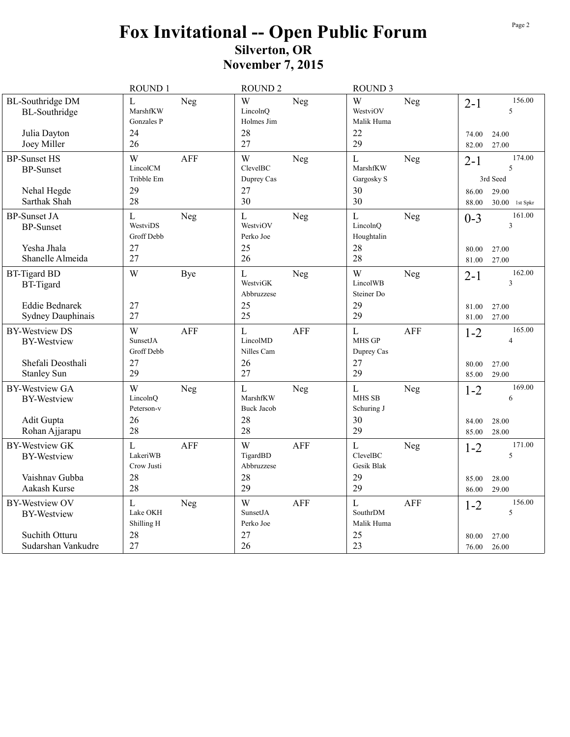## Fox Invitational -- Open Public Forum<br>Silverton, OR **November 7, 2015**

|                                                                                        | ROUND 1                                                  | <b>ROUND 2</b>                                                   | <b>ROUND 3</b>                                                       |                                                                                    |
|----------------------------------------------------------------------------------------|----------------------------------------------------------|------------------------------------------------------------------|----------------------------------------------------------------------|------------------------------------------------------------------------------------|
| <b>BL-Southridge DM</b><br><b>BL-Southridge</b><br>Julia Dayton<br>Joey Miller         | L<br>Neg<br>MarshfKW<br>Gonzales P<br>24<br>26           | W<br>Neg<br>LincolnQ<br>Holmes Jim<br>28<br>27                   | W<br>Neg<br>WestviOV<br>Malik Huma<br>22<br>29                       | 156.00<br>$2 - 1$<br>5<br>74.00<br>24.00<br>27.00<br>82.00                         |
| <b>BP-Sunset HS</b><br><b>BP-Sunset</b><br>Nehal Hegde<br>Sarthak Shah                 | W<br><b>AFF</b><br>LincolCM<br>Tribble Em<br>29<br>28    | W<br>Neg<br>ClevelBC<br>Duprey Cas<br>27<br>30                   | $\mathbf L$<br>Neg<br>MarshfKW<br>Gargosky S<br>30<br>30             | 174.00<br>$2 - 1$<br>5<br>3rd Seed<br>86.00<br>29.00<br>88.00<br>30.00<br>1st Spkr |
| <b>BP-Sunset JA</b><br><b>BP-Sunset</b><br>Yesha Jhala<br>Shanelle Almeida             | $\mathbf L$<br>Neg<br>WestviDS<br>Groff Debb<br>27<br>27 | L<br>Neg<br>WestviOV<br>Perko Joe<br>25<br>26                    | $\mathbf L$<br>Neg<br>LincolnO<br>Houghtalin<br>28<br>28             | 161.00<br>$0 - 3$<br>$\overline{3}$<br>80.00<br>27.00<br>81.00<br>27.00            |
| <b>BT-Tigard BD</b><br><b>BT-Tigard</b><br><b>Eddie Bednarek</b><br>Sydney Dauphinais  | W<br>Bye<br>27<br>27                                     | $\mathbf L$<br>Neg<br>WestviGK<br>Abbruzzese<br>25<br>25         | W<br>Neg<br>LincolWB<br>Steiner Do<br>29<br>29                       | 162.00<br>$2 - 1$<br>3<br>81.00<br>27.00<br>27.00<br>81.00                         |
| <b>BY-Westview DS</b><br><b>BY-Westview</b><br>Shefali Deosthali<br><b>Stanley Sun</b> | <b>AFF</b><br>W<br>SunsetJA<br>Groff Debb<br>27<br>29    | $\mathbf{L}$<br><b>AFF</b><br>LincolMD<br>Nilles Cam<br>26<br>27 | $\mathbf L$<br><b>AFF</b><br><b>MHS GP</b><br>Duprey Cas<br>27<br>29 | 165.00<br>$1 - 2$<br>$\overline{4}$<br>80.00<br>27.00<br>29.00<br>85.00            |
| <b>BY-Westview GA</b><br><b>BY-Westview</b><br>Adit Gupta<br>Rohan Ajjarapu            | W<br>Neg<br>LincolnQ<br>Peterson-v<br>26<br>28           | L<br>Neg<br>MarshfKW<br><b>Buck Jacob</b><br>28<br>28            | $\mathbf L$<br>Neg<br>MHS SB<br>Schuring J<br>30<br>29               | 169.00<br>$1 - 2$<br>6<br>28.00<br>84.00<br>28.00<br>85.00                         |
| <b>BY-Westview GK</b><br><b>BY-Westview</b><br>Vaishnav Gubba<br>Aakash Kurse          | <b>AFF</b><br>L<br>LakeriWB<br>Crow Justi<br>28<br>28    | W<br><b>AFF</b><br>TigardBD<br>Abbruzzese<br>28<br>29            | L<br>Neg<br>ClevelBC<br>Gesik Blak<br>29<br>29                       | 171.00<br>$1 - 2$<br>5<br>85.00<br>28.00<br>29.00<br>86.00                         |
| <b>BY-Westview OV</b><br><b>BY-Westview</b><br>Suchith Otturu<br>Sudarshan Vankudre    | L<br>Neg<br>Lake OKH<br>Shilling H<br>28<br>27           | W<br><b>AFF</b><br>SunsetJA<br>Perko Joe<br>27<br>26             | $\mathbf L$<br><b>AFF</b><br>SouthrDM<br>Malik Huma<br>25<br>23      | 156.00<br>$1 - 2$<br>5<br>27.00<br>80.00<br>76.00<br>26.00                         |